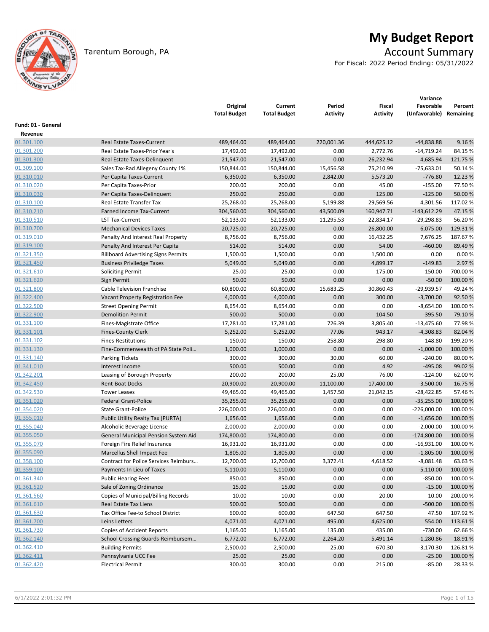

# **My Budget Report**

# Tarentum Borough, PA **Account Summary Account Summary**

For Fiscal: 2022 Period Ending: 05/31/2022

|                       |                                            | Original<br><b>Total Budget</b> | Current<br><b>Total Budget</b> | Period<br>Activity | Fiscal<br><b>Activity</b> | Variance<br>Favorable<br>(Unfavorable) Remaining | Percent  |
|-----------------------|--------------------------------------------|---------------------------------|--------------------------------|--------------------|---------------------------|--------------------------------------------------|----------|
| Fund: 01 - General    |                                            |                                 |                                |                    |                           |                                                  |          |
| Revenue<br>01.301.100 | <b>Real Estate Taxes-Current</b>           | 489,464.00                      | 489,464.00                     | 220,001.36         | 444,625.12                | $-44,838.88$                                     | 9.16%    |
| 01.301.200            | Real Estate Taxes-Prior Year's             | 17,492.00                       | 17,492.00                      | 0.00               | 2,772.76                  | $-14,719.24$                                     | 84.15%   |
| 01.301.300            | Real Estate Taxes-Delinquent               | 21,547.00                       | 21,547.00                      | 0.00               | 26,232.94                 | 4,685.94                                         | 121.75 % |
| 01.309.100            | Sales Tax-Rad Allegeny County 1%           | 150,844.00                      | 150,844.00                     | 15,456.58          | 75,210.99                 | $-75,633.01$                                     | 50.14 %  |
| 01.310.010            | Per Capita Taxes-Current                   | 6,350.00                        | 6,350.00                       | 2,842.00           | 5,573.20                  | $-776.80$                                        | 12.23 %  |
| 01.310.020            | Per Capita Taxes-Prior                     | 200.00                          | 200.00                         | 0.00               | 45.00                     | $-155.00$                                        | 77.50%   |
| 01.310.030            | Per Capita Taxes-Delinquent                | 250.00                          | 250.00                         | 0.00               | 125.00                    | $-125.00$                                        | 50.00 %  |
| 01.310.100            | Real Estate Transfer Tax                   | 25,268.00                       | 25,268.00                      | 5,199.88           | 29,569.56                 | 4,301.56                                         | 117.02%  |
| 01.310.210            | Earned Income Tax-Current                  | 304,560.00                      | 304,560.00                     | 43,500.09          | 160,947.71                | $-143,612.29$                                    | 47.15 %  |
| 01.310.510            | <b>LST Tax-Current</b>                     | 52,133.00                       | 52,133.00                      | 11,295.53          | 22,834.17                 | $-29,298.83$                                     | 56.20%   |
| 01.310.700            | <b>Mechanical Devices Taxes</b>            | 20,725.00                       | 20,725.00                      | 0.00               | 26,800.00                 | 6,075.00                                         | 129.31%  |
| 01.319.010            | Penalty And Interest Real Property         | 8,756.00                        | 8,756.00                       | 0.00               | 16,432.25                 | 7,676.25                                         | 187.67%  |
| 01.319.100            | Penalty And Interest Per Capita            | 514.00                          | 514.00                         | 0.00               | 54.00                     | $-460.00$                                        | 89.49%   |
| 01.321.350            | <b>Billboard Advertising Signs Permits</b> | 1,500.00                        | 1,500.00                       | 0.00               | 1,500.00                  | 0.00                                             | 0.00%    |
| 01.321.450            | <b>Business Priviledge Taxes</b>           | 5,049.00                        | 5,049.00                       | 0.00               | 4,899.17                  | $-149.83$                                        | 2.97 %   |
| 01.321.610            | <b>Soliciting Permit</b>                   | 25.00                           | 25.00                          | 0.00               | 175.00                    | 150.00                                           | 700.00%  |
| 01.321.620            | Sign Permit                                | 50.00                           | 50.00                          | 0.00               | 0.00                      | $-50.00$                                         | 100.00 % |
| 01.321.800            | <b>Cable Television Franchise</b>          | 60,800.00                       | 60,800.00                      | 15,683.25          | 30,860.43                 | -29,939.57                                       | 49.24 %  |
| 01.322.400            | Vacant Property Registration Fee           | 4,000.00                        | 4,000.00                       | 0.00               | 300.00                    | $-3,700.00$                                      | 92.50%   |
| 01.322.500            | <b>Street Opening Permit</b>               | 8,654.00                        | 8,654.00                       | 0.00               | 0.00                      | $-8,654.00$                                      | 100.00%  |
| 01.322.900            | <b>Demolition Permit</b>                   | 500.00                          | 500.00                         | 0.00               | 104.50                    | $-395.50$                                        | 79.10%   |
| 01.331.100            | Fines-Magistrate Office                    | 17,281.00                       | 17,281.00                      | 726.39             | 3,805.40                  | $-13,475.60$                                     | 77.98%   |
| 01.331.101            | <b>Fines-County Clerk</b>                  | 5,252.00                        | 5,252.00                       | 77.06              | 943.17                    | $-4,308.83$                                      | 82.04%   |
| 01.331.102            | Fines-Restitutions                         | 150.00                          | 150.00                         | 258.80             | 298.80                    | 148.80                                           | 199.20%  |
| 01.331.130            | Fine-Commenwealth of PA State Poli         | 1,000.00                        | 1,000.00                       | 0.00               | 0.00                      | $-1,000.00$                                      | 100.00 % |
| 01.331.140            | <b>Parking Tickets</b>                     | 300.00                          | 300.00                         | 30.00              | 60.00                     | $-240.00$                                        | 80.00%   |
| 01.341.010            | Interest Income                            | 500.00                          | 500.00                         | 0.00               | 4.92                      | $-495.08$                                        | 99.02 %  |
| 01.342.201            | Leasing of Borough Property                | 200.00                          | 200.00                         | 25.00              | 76.00                     | $-124.00$                                        | 62.00%   |
| 01.342.450            | <b>Rent-Boat Docks</b>                     | 20,900.00                       | 20,900.00                      | 11,100.00          | 17,400.00                 | $-3,500.00$                                      | 16.75 %  |
| 01.342.530            | <b>Tower Leases</b>                        | 49,465.00                       | 49,465.00                      | 1,457.50           | 21,042.15                 | $-28,422.85$                                     | 57.46%   |
| 01.351.020            | <b>Federal Grant-Police</b>                | 35,255.00                       | 35,255.00                      | 0.00               | 0.00                      | $-35,255.00$                                     | 100.00 % |
| 01.354.020            | State Grant-Police                         | 226,000.00                      | 226,000.00                     | 0.00               | 0.00                      | $-226,000.00$                                    | 100.00 % |
| 01.355.010            | Public Utility Realty Tax [PURTA]          | 1,656.00                        | 1,656.00                       | 0.00               | 0.00                      | $-1,656.00$                                      | 100.00 % |
| 01.355.040            | Alcoholic Beverage License                 | 2,000.00                        | 2,000.00                       | 0.00               | 0.00                      | $-2,000.00$                                      | 100.00 % |
| 01.355.050            | General Municipal Pension System Aid       | 174,800.00                      | 174,800.00                     | 0.00               | 0.00                      | $-174,800.00$                                    | 100.00 % |
| 01.355.070            | Foreign Fire Relief Insurance              | 16,931.00                       | 16,931.00                      | 0.00               | 0.00                      | $-16,931.00$                                     | 100.00 % |
| 01.355.090            | Marcellus Shell Impact Fee                 | 1,805.00                        | 1,805.00                       | 0.00               | 0.00                      | $-1,805.00$                                      | 100.00%  |
| 01.358.100            | Contract for Police Services Reimburs      | 12,700.00                       | 12,700.00                      | 3,372.41           | 4,618.52                  | $-8,081.48$                                      | 63.63%   |
| 01.359.100            | Payments In Lieu of Taxes                  | 5,110.00                        | 5,110.00                       | 0.00               | 0.00                      | $-5,110.00$                                      | 100.00 % |
| 01.361.340            | <b>Public Hearing Fees</b>                 | 850.00                          | 850.00                         | 0.00               | 0.00                      | $-850.00$                                        | 100.00%  |
| 01.361.520            | Sale of Zoning Ordinance                   | 15.00                           | 15.00                          | 0.00               | 0.00                      | $-15.00$                                         | 100.00%  |
| 01.361.560            | Copies of Municipal/Billing Records        | 10.00                           | 10.00                          | 0.00               | 20.00                     | 10.00                                            | 200.00%  |
| 01.361.610            | Real Estate Tax Liens                      | 500.00                          | 500.00                         | 0.00               | 0.00                      | $-500.00$                                        | 100.00%  |
| 01.361.630            | Tax Office Fee-to School District          | 600.00                          | 600.00                         | 647.50             | 647.50                    | 47.50                                            | 107.92%  |
| 01.361.700            | Leins Letters                              | 4,071.00                        | 4,071.00                       | 495.00             | 4,625.00                  | 554.00                                           | 113.61%  |
| 01.361.730            | <b>Copies of Accident Reports</b>          | 1,165.00                        | 1,165.00                       | 135.00             | 435.00                    | $-730.00$                                        | 62.66%   |
| 01.362.140            | School Crossing Guards-Reimbursem          | 6,772.00                        | 6,772.00                       | 2,264.20           | 5,491.14                  | $-1,280.86$                                      | 18.91%   |
| 01.362.410            | <b>Building Permits</b>                    | 2,500.00                        | 2,500.00                       | 25.00              | $-670.30$                 | $-3,170.30$                                      | 126.81%  |
| 01.362.411            | Pennsylvania UCC Fee                       | 25.00                           | 25.00                          | 0.00               | 0.00                      | $-25.00$                                         | 100.00%  |
| 01.362.420            | <b>Electrical Permit</b>                   | 300.00                          | 300.00                         | 0.00               | 215.00                    | $-85.00$                                         | 28.33%   |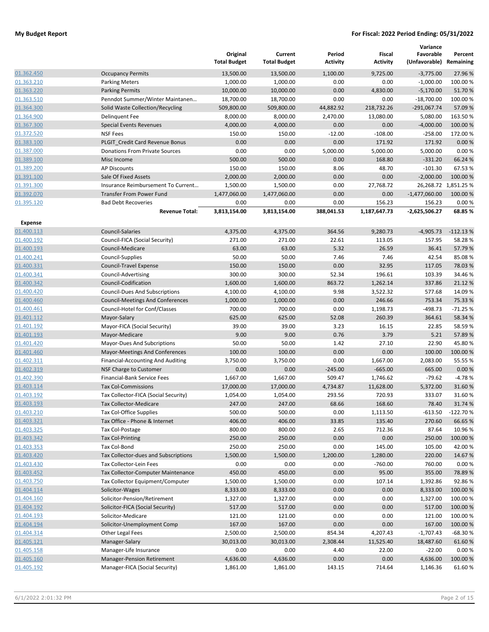|                          |                                                               | Original<br><b>Total Budget</b> | Current<br><b>Total Budget</b> | Period<br><b>Activity</b> | Fiscal<br><b>Activity</b> | Variance<br>Favorable<br>(Unfavorable) Remaining | Percent              |
|--------------------------|---------------------------------------------------------------|---------------------------------|--------------------------------|---------------------------|---------------------------|--------------------------------------------------|----------------------|
| 01.362.450               | <b>Occupancy Permits</b>                                      | 13,500.00                       | 13,500.00                      | 1,100.00                  | 9,725.00                  | $-3,775.00$                                      | 27.96 %              |
| 01.363.210               | <b>Parking Meters</b>                                         | 1,000.00                        | 1,000.00                       | 0.00                      | 0.00                      | $-1,000.00$                                      | 100.00%              |
| 01.363.220               | <b>Parking Permits</b>                                        | 10,000.00                       | 10,000.00                      | 0.00                      | 4,830.00                  | $-5,170.00$                                      | 51.70%               |
| 01.363.510               | Penndot Summer/Winter Maintanen                               | 18,700.00                       | 18,700.00                      | 0.00                      | 0.00                      | $-18,700.00$                                     | 100.00%              |
| 01.364.300               | Solid Waste Collection/Recycling                              | 509,800.00                      | 509,800.00                     | 44,882.92                 | 218,732.26                | $-291,067.74$                                    | 57.09 %              |
| 01.364.900               | <b>Delinquent Fee</b>                                         | 8,000.00                        | 8,000.00                       | 2,470.00                  | 13,080.00                 | 5,080.00                                         | 163.50%              |
| 01.367.300               | <b>Special Events Revenues</b>                                | 4,000.00                        | 4,000.00                       | 0.00                      | 0.00                      | $-4,000.00$                                      | 100.00 %             |
| 01.372.520               | <b>NSF Fees</b>                                               | 150.00                          | 150.00                         | $-12.00$                  | $-108.00$                 | $-258.00$                                        | 172.00%              |
| 01.383.100               | PLGIT Credit Card Revenue Bonus                               | 0.00                            | 0.00                           | 0.00                      | 171.92                    | 171.92                                           | 0.00 %               |
| 01.387.000               | Donations From Private Sources                                | 0.00                            | 0.00                           | 5,000.00                  | 5,000.00                  | 5,000.00                                         | 0.00%                |
| 01.389.100               | Misc Income                                                   | 500.00                          | 500.00                         | 0.00                      | 168.80                    | $-331.20$                                        | 66.24 %              |
| 01.389.200               | <b>AP Discounts</b>                                           | 150.00                          | 150.00                         | 8.06                      | 48.70                     | $-101.30$                                        | 67.53 %              |
| 01.391.100               | Sale Of Fixed Assets                                          | 2,000.00                        | 2,000.00                       | 0.00                      | 0.00                      | $-2,000.00$                                      | 100.00 %             |
| 01.391.300               | Insurance Reimbursement To Current                            | 1,500.00                        | 1,500.00                       | 0.00                      | 27,768.72                 |                                                  | 26,268.72 1,851.25 % |
| 01.392.070               | <b>Transfer From Power Fund</b>                               | 1,477,060.00                    | 1,477,060.00                   | 0.00                      | 0.00                      | $-1,477,060.00$                                  | 100.00 %             |
| 01.395.120               | <b>Bad Debt Recoveries</b><br><b>Revenue Total:</b>           | 0.00<br>3,813,154.00            | 0.00<br>3,813,154.00           | 0.00<br>388,041.53        | 156.23<br>1,187,647.73    | 156.23<br>$-2,625,506.27$                        | 0.00%<br>68.85%      |
| <b>Expense</b>           |                                                               |                                 |                                |                           |                           |                                                  |                      |
| 01.400.113               | Council-Salaries                                              | 4,375.00                        | 4,375.00                       | 364.56                    | 9,280.73                  | $-4,905.73$                                      | $-112.13%$           |
| 01.400.192               | Council-FICA (Social Security)                                | 271.00                          | 271.00                         | 22.61                     | 113.05                    | 157.95                                           | 58.28%               |
| 01.400.193               | Council-Medicare                                              | 63.00                           | 63.00                          | 5.32                      | 26.59                     | 36.41                                            | 57.79 %              |
| 01.400.241               | Council-Supplies                                              | 50.00                           | 50.00                          | 7.46                      | 7.46                      | 42.54                                            | 85.08%               |
| 01.400.331               | <b>Council-Travel Expense</b>                                 | 150.00                          | 150.00                         | 0.00                      | 32.95                     | 117.05                                           | 78.03 %              |
| 01.400.341               | Council-Advertising                                           | 300.00                          | 300.00                         | 52.34                     | 196.61                    | 103.39                                           | 34.46%               |
| 01.400.342               | Council-Codification                                          | 1,600.00                        | 1,600.00                       | 863.72                    | 1,262.14                  | 337.86                                           | 21.12%               |
| 01.400.420               | <b>Council-Dues And Subscriptions</b>                         | 4,100.00                        | 4,100.00                       | 9.98                      | 3,522.32                  | 577.68                                           | 14.09 %              |
| 01.400.460               | <b>Council-Meetings And Conferences</b>                       | 1,000.00                        | 1,000.00                       | 0.00                      | 246.66                    | 753.34                                           | 75.33 %              |
| 01.400.461               | Council-Hotel for Conf/Classes                                | 700.00                          | 700.00                         | 0.00                      | 1,198.73                  | -498.73                                          | $-71.25%$            |
| 01.401.112               | Mayor-Salary                                                  | 625.00                          | 625.00                         | 52.08                     | 260.39                    | 364.61                                           | 58.34 %              |
| 01.401.192               | Mayor-FICA (Social Security)                                  | 39.00                           | 39.00                          | 3.23                      | 16.15                     | 22.85                                            | 58.59%               |
| 01.401.193               | Mayor-Medicare                                                | 9.00                            | 9.00                           | 0.76                      | 3.79                      | 5.21                                             | 57.89%               |
| 01.401.420               | Mayor-Dues And Subcriptions                                   | 50.00                           | 50.00                          | 1.42                      | 27.10                     | 22.90                                            | 45.80%               |
| 01.401.460               | Mayor-Meetings And Conferences                                | 100.00                          | 100.00                         | 0.00                      | 0.00                      | 100.00                                           | 100.00 %             |
| 01.402.311               | <b>Financial-Accounting And Auditing</b>                      | 3,750.00                        | 3,750.00                       | 0.00                      | 1,667.00                  | 2,083.00                                         | 55.55 %              |
| 01.402.319               | NSF Charge to Customer                                        | 0.00                            | 0.00                           | $-245.00$                 | $-665.00$                 | 665.00                                           | 0.00%                |
| 01.402.390               | Financial-Bank Service Fees                                   | 1,667.00                        | 1,667.00                       | 509.47                    | 1,746.62                  | $-79.62$                                         | $-4.78%$             |
| 01.403.114               | <b>Tax Col-Commissions</b>                                    | 17,000.00                       | 17,000.00                      | 4,734.87                  | 11,628.00                 | 5,372.00                                         | 31.60%               |
| 01.403.192               | Tax Collector-FICA (Social Security)                          | 1,054.00                        | 1,054.00                       | 293.56                    | 720.93                    | 333.07                                           | 31.60%               |
| 01.403.193               | Tax Collector-Medicare                                        | 247.00                          | 247.00                         | 68.66                     | 168.60                    | 78.40                                            | 31.74 %              |
| 01.403.210               | <b>Tax Col-Office Supplies</b>                                | 500.00                          | 500.00                         | 0.00                      | 1,113.50                  | $-613.50$                                        | $-122.70%$           |
| 01.403.321               | Tax Office - Phone & Internet                                 | 406.00                          | 406.00                         | 33.85                     | 135.40                    | 270.60                                           | 66.65%               |
| 01.403.325               | Tax Col-Postage                                               | 800.00                          | 800.00                         | 2.65                      | 712.36                    | 87.64                                            | 10.96%               |
| 01.403.342               | Tax Col-Printing                                              | 250.00                          | 250.00                         | 0.00                      | 0.00                      | 250.00                                           | 100.00 %             |
| 01.403.353               | Tax Col-Bond                                                  | 250.00                          | 250.00                         | 0.00                      | 145.00                    | 105.00                                           | 42.00%               |
| 01.403.420<br>01.403.430 | Tax Collector-dues and Subscriptions                          | 1,500.00                        | 1,500.00                       | 1,200.00                  | 1,280.00                  | 220.00                                           | 14.67%               |
| 01.403.452               | Tax Collector-Lein Fees<br>Tax Collector-Computer Maintenance | 0.00<br>450.00                  | 0.00<br>450.00                 | 0.00<br>0.00              | $-760.00$<br>95.00        | 760.00<br>355.00                                 | 0.00%<br>78.89%      |
| 01.403.750               | Tax Collector Equipment/Computer                              | 1,500.00                        | 1,500.00                       | 0.00                      | 107.14                    | 1,392.86                                         | 92.86%               |
| 01.404.114               | Solicitor-Wages                                               | 8,333.00                        | 8,333.00                       | 0.00                      | 0.00                      | 8,333.00                                         | 100.00%              |
| 01.404.160               | Solicitor-Pension/Retirement                                  | 1,327.00                        | 1,327.00                       | 0.00                      | 0.00                      | 1,327.00                                         | 100.00 %             |
| 01.404.192               | Solicitor-FICA (Social Security)                              | 517.00                          | 517.00                         | 0.00                      | 0.00                      | 517.00                                           | 100.00 %             |
| 01.404.193               | Solicitor-Medicare                                            | 121.00                          | 121.00                         | 0.00                      | 0.00                      | 121.00                                           | 100.00 %             |
| 01.404.194               | Solicitor-Unemployment Comp                                   | 167.00                          | 167.00                         | 0.00                      | 0.00                      | 167.00                                           | 100.00 %             |
| 01.404.314               | Other Legal Fees                                              | 2,500.00                        | 2,500.00                       | 854.34                    | 4,207.43                  | $-1,707.43$                                      | $-68.30%$            |
| 01.405.121               | Manager-Salary                                                | 30,013.00                       | 30,013.00                      | 2,308.44                  | 11,525.40                 | 18,487.60                                        | 61.60%               |
| 01.405.158               | Manager-Life Insurance                                        | 0.00                            | 0.00                           | 4.40                      | 22.00                     | $-22.00$                                         | 0.00%                |
| 01.405.160               | <b>Manager-Pension Retirement</b>                             | 4,636.00                        | 4,636.00                       | 0.00                      | 0.00                      | 4,636.00                                         | 100.00 %             |
| 01.405.192               | Manager-FICA (Social Security)                                | 1,861.00                        | 1,861.00                       | 143.15                    | 714.64                    | 1,146.36                                         | 61.60%               |
|                          |                                                               |                                 |                                |                           |                           |                                                  |                      |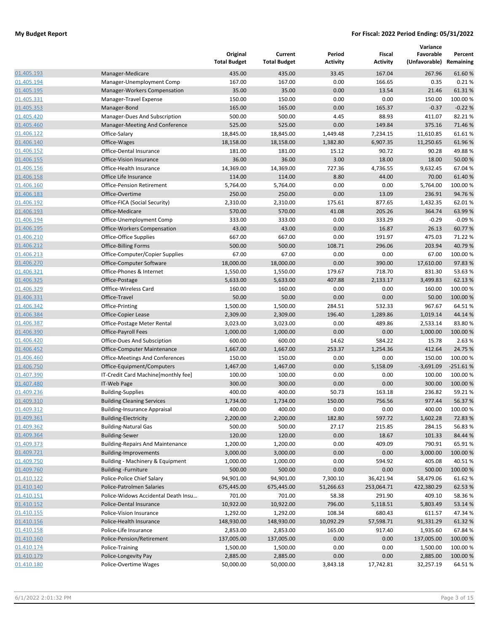|            |                                         | Original<br><b>Total Budget</b> | Current<br><b>Total Budget</b> | Period<br><b>Activity</b> | Fiscal<br><b>Activity</b> | Variance<br>Favorable<br>(Unfavorable) Remaining | Percent    |
|------------|-----------------------------------------|---------------------------------|--------------------------------|---------------------------|---------------------------|--------------------------------------------------|------------|
| 01.405.193 | Manager-Medicare                        | 435.00                          | 435.00                         | 33.45                     | 167.04                    | 267.96                                           | 61.60%     |
| 01.405.194 | Manager-Unemployment Comp               | 167.00                          | 167.00                         | 0.00                      | 166.65                    | 0.35                                             | 0.21%      |
| 01.405.195 | Manager-Workers Compensation            | 35.00                           | 35.00                          | 0.00                      | 13.54                     | 21.46                                            | 61.31%     |
| 01.405.331 | Manager-Travel Expense                  | 150.00                          | 150.00                         | 0.00                      | 0.00                      | 150.00                                           | 100.00 %   |
| 01.405.353 | Manager-Bond                            | 165.00                          | 165.00                         | 0.00                      | 165.37                    | $-0.37$                                          | $-0.22%$   |
| 01.405.420 | Manager-Dues And Subscription           | 500.00                          | 500.00                         | 4.45                      | 88.93                     | 411.07                                           | 82.21%     |
| 01.405.460 | Manager-Meeting And Conference          | 525.00                          | 525.00                         | 0.00                      | 149.84                    | 375.16                                           | 71.46%     |
| 01.406.122 | Office-Salary                           | 18,845.00                       | 18,845.00                      | 1,449.48                  | 7,234.15                  | 11,610.85                                        | 61.61%     |
| 01.406.140 | Office-Wages                            | 18,158.00                       | 18,158.00                      | 1,382.80                  | 6,907.35                  | 11,250.65                                        | 61.96%     |
| 01.406.152 | Office-Dental Insurance                 | 181.00                          | 181.00                         | 15.12                     | 90.72                     | 90.28                                            | 49.88%     |
| 01.406.155 | Office-Vision Insurance                 | 36.00                           | 36.00                          | 3.00                      | 18.00                     | 18.00                                            | 50.00 %    |
| 01.406.156 | Office-Health Insurance                 | 14,369.00                       | 14,369.00                      | 727.36                    | 4,736.55                  | 9,632.45                                         | 67.04%     |
| 01.406.158 | Office Life Insurance                   | 114.00                          | 114.00                         | 8.80                      | 44.00                     | 70.00                                            | 61.40%     |
| 01.406.160 | <b>Office-Pension Retirement</b>        | 5,764.00                        | 5,764.00                       | 0.00                      | 0.00                      | 5,764.00                                         | 100.00 %   |
| 01.406.183 | Office-Overtime                         | 250.00                          | 250.00                         | 0.00                      | 13.09                     | 236.91                                           | 94.76%     |
| 01.406.192 | Office-FICA (Social Security)           | 2,310.00                        | 2,310.00                       | 175.61                    | 877.65                    | 1,432.35                                         | 62.01%     |
| 01.406.193 | Office-Medicare                         | 570.00                          | 570.00                         | 41.08                     | 205.26                    | 364.74                                           | 63.99%     |
| 01.406.194 | Office-Unemployment Comp                | 333.00                          | 333.00                         | 0.00                      | 333.29                    | $-0.29$                                          | $-0.09%$   |
| 01.406.195 | Office-Workers Compensation             | 43.00                           | 43.00                          | 0.00                      | 16.87                     | 26.13                                            | 60.77%     |
| 01.406.210 | Office-Office Supplies                  | 667.00                          | 667.00                         | 0.00                      | 191.97                    | 475.03                                           | 71.22 %    |
| 01.406.212 | <b>Office-Billing Forms</b>             | 500.00                          | 500.00                         | 108.71                    | 296.06                    | 203.94                                           | 40.79%     |
| 01.406.213 | Office-Computer/Copier Supplies         | 67.00                           | 67.00                          | 0.00                      | 0.00                      | 67.00                                            | 100.00 %   |
| 01.406.270 | Office-Computer Software                | 18,000.00                       | 18,000.00                      | 0.00                      | 390.00                    | 17,610.00                                        | 97.83%     |
| 01.406.321 | Office-Phones & Internet                | 1,550.00                        | 1,550.00                       | 179.67                    | 718.70                    | 831.30                                           | 53.63%     |
| 01.406.325 | Office-Postage                          | 5,633.00                        | 5,633.00                       | 407.88                    | 2,133.17                  | 3,499.83                                         | 62.13%     |
| 01.406.329 | Offfice-Wireless Card                   | 160.00                          | 160.00                         | 0.00                      | 0.00                      | 160.00                                           | 100.00 %   |
| 01.406.331 | Office-Travel                           | 50.00                           | 50.00                          | 0.00                      | 0.00                      | 50.00                                            | 100.00 %   |
| 01.406.342 | Office-Printing                         | 1,500.00                        | 1,500.00                       | 284.51                    | 532.33                    | 967.67                                           | 64.51%     |
| 01.406.384 | Office-Copier Lease                     | 2,309.00                        | 2,309.00                       | 196.40                    | 1,289.86                  | 1,019.14                                         | 44.14 %    |
| 01.406.387 | Office-Postage Meter Rental             | 3,023.00                        | 3,023.00                       | 0.00                      | 489.86                    | 2,533.14                                         | 83.80%     |
| 01.406.390 | <b>Office-Payroll Fees</b>              | 1,000.00                        | 1,000.00                       | 0.00                      | 0.00                      | 1,000.00                                         | 100.00 %   |
| 01.406.420 | Office-Dues And Subsciption             | 600.00                          | 600.00                         | 14.62                     | 584.22                    | 15.78                                            | 2.63 %     |
| 01.406.452 | <b>Office-Computer Maintenance</b>      | 1,667.00                        | 1,667.00                       | 253.37                    | 1,254.36                  | 412.64                                           | 24.75 %    |
| 01.406.460 | Office-Meetings And Conferences         | 150.00                          | 150.00                         | 0.00                      | 0.00                      | 150.00                                           | 100.00 %   |
| 01.406.750 | Office-Equipment/Computers              | 1,467.00                        | 1,467.00                       | 0.00                      | 5,158.09                  | $-3,691.09$                                      | $-251.61%$ |
| 01.407.390 | IT-Credit Card Machine [monthly fee]    | 100.00                          | 100.00                         | 0.00                      | 0.00                      | 100.00                                           | 100.00 %   |
| 01.407.480 | IT-Web Page                             | 300.00                          | 300.00                         | 0.00                      | 0.00                      | 300.00                                           | 100.00 %   |
| 01.409.236 | <b>Building-Supplies</b>                | 400.00                          | 400.00                         | 50.73                     | 163.18                    | 236.82                                           | 59.21%     |
| 01.409.310 | <b>Building Cleaning Services</b>       | 1,734.00                        | 1,734.00                       | 150.00                    | 756.56                    | 977.44                                           | 56.37%     |
| 01.409.312 | <b>Building-Insurance Appraisal</b>     | 400.00                          | 400.00                         | 0.00                      | 0.00                      | 400.00                                           | 100.00%    |
| 01.409.361 | <b>Building-Electricity</b>             | 2,200.00                        | 2,200.00                       | 182.80                    | 597.72                    | 1,602.28                                         | 72.83%     |
| 01.409.362 | <b>Building-Natural Gas</b>             | 500.00                          | 500.00                         | 27.17                     | 215.85                    | 284.15                                           | 56.83%     |
| 01.409.364 | <b>Building-Sewer</b>                   | 120.00                          | 120.00                         | 0.00                      | 18.67                     | 101.33                                           | 84.44 %    |
| 01.409.373 | <b>Building-Repairs And Maintenance</b> | 1,200.00                        | 1,200.00                       | 0.00                      | 409.09                    | 790.91                                           | 65.91%     |
| 01.409.721 | <b>Building-Improvements</b>            | 3,000.00                        | 3,000.00                       | 0.00                      | 0.00                      | 3,000.00                                         | 100.00%    |
| 01.409.750 | Building - Machinery & Equipment        | 1,000.00                        | 1,000.00                       | 0.00                      | 594.92                    | 405.08                                           | 40.51%     |
| 01.409.760 | <b>Building-Furniture</b>               | 500.00                          | 500.00                         | 0.00                      | 0.00                      | 500.00                                           | 100.00 %   |
| 01.410.122 | Police-Police Chief Salary              | 94,901.00                       | 94,901.00                      | 7,300.10                  | 36,421.94                 | 58,479.06                                        | 61.62%     |
| 01.410.140 | Police-Patrolmen Salaries               | 675,445.00                      | 675,445.00                     | 51,266.63                 | 253,064.71                | 422,380.29                                       | 62.53%     |
| 01.410.151 | Police-Widows Accidental Death Insu     | 701.00                          | 701.00                         | 58.38                     | 291.90                    | 409.10                                           | 58.36%     |
| 01.410.152 | Police-Dental Insurance                 | 10,922.00                       | 10,922.00                      | 796.00                    | 5,118.51                  | 5,803.49                                         | 53.14 %    |
| 01.410.155 | Police-Vision Insurance                 | 1,292.00                        | 1,292.00                       | 108.34                    | 680.43                    | 611.57                                           | 47.34 %    |
| 01.410.156 | Police-Health Insurance                 | 148,930.00                      | 148,930.00                     | 10,092.29                 | 57,598.71                 | 91,331.29                                        | 61.32%     |
| 01.410.158 | Police-Life Insurance                   | 2,853.00                        | 2,853.00                       | 165.00                    | 917.40                    | 1,935.60                                         | 67.84 %    |
| 01.410.160 | Police-Pension/Retirement               | 137,005.00                      | 137,005.00                     | 0.00                      | 0.00                      | 137,005.00                                       | 100.00 %   |
| 01.410.174 | Police-Training                         | 1,500.00                        | 1,500.00                       | 0.00                      | 0.00                      | 1,500.00                                         | 100.00 %   |
| 01.410.179 | Police-Longevity Pay                    | 2,885.00                        | 2,885.00                       | 0.00                      | 0.00                      | 2,885.00                                         | 100.00 %   |
| 01.410.180 | Police-Overtime Wages                   | 50,000.00                       | 50,000.00                      | 3,843.18                  | 17,742.81                 | 32,257.19                                        | 64.51%     |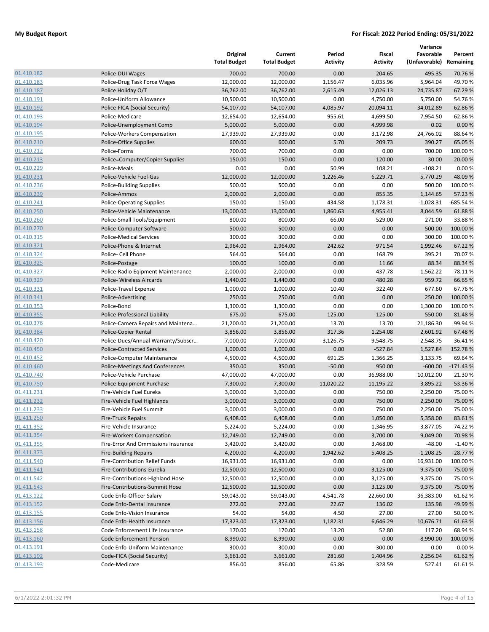|                          |                                                               | Original<br><b>Total Budget</b> | Current<br><b>Total Budget</b> | Period<br><b>Activity</b> | Fiscal<br><b>Activity</b> | Variance<br>Favorable<br>(Unfavorable) | Percent<br>Remaining |
|--------------------------|---------------------------------------------------------------|---------------------------------|--------------------------------|---------------------------|---------------------------|----------------------------------------|----------------------|
| 01.410.182               | Police-DUI Wages                                              | 700.00                          | 700.00                         | 0.00                      | 204.65                    | 495.35                                 | 70.76 %              |
| 01.410.183               | Police-Drug Task Force Wages                                  | 12,000.00                       | 12,000.00                      | 1,156.47                  | 6,035.96                  | 5,964.04                               | 49.70%               |
| 01.410.187               | Police Holiday O/T                                            | 36,762.00                       | 36,762.00                      | 2,615.49                  | 12,026.13                 | 24,735.87                              | 67.29 %              |
| 01.410.191               | Police-Uniform Allowance                                      | 10,500.00                       | 10,500.00                      | 0.00                      | 4,750.00                  | 5,750.00                               | 54.76%               |
| 01.410.192               | Police-FICA (Social Security)                                 | 54,107.00                       | 54,107.00                      | 4,085.97                  | 20,094.11                 | 34,012.89                              | 62.86%               |
| 01.410.193               | Police-Medicare                                               | 12,654.00                       | 12,654.00                      | 955.61                    | 4,699.50                  | 7,954.50                               | 62.86%               |
| 01.410.194               | Police-Unemployment Comp                                      | 5,000.00                        | 5,000.00                       | 0.00                      | 4,999.98                  | 0.02                                   | 0.00%                |
| 01.410.195               | Police-Workers Compensation                                   | 27,939.00                       | 27,939.00                      | 0.00                      | 3,172.98                  | 24,766.02                              | 88.64%               |
| 01.410.210               | Police-Office Supplies                                        | 600.00                          | 600.00                         | 5.70                      | 209.73                    | 390.27                                 | 65.05 %              |
| 01.410.212               | Police-Forms                                                  | 700.00                          | 700.00                         | 0.00                      | 0.00                      | 700.00                                 | 100.00 %             |
| 01.410.213               | Police=Computer/Copier Supplies                               | 150.00                          | 150.00                         | 0.00                      | 120.00                    | 30.00                                  | 20.00 %              |
| 01.410.229               | Police-Meals                                                  | 0.00                            | 0.00                           | 50.99                     | 108.21                    | $-108.21$                              | 0.00%                |
| 01.410.231               | Police-Vehicle Fuel-Gas                                       | 12,000.00                       | 12,000.00                      | 1,226.46                  | 6,229.71                  | 5,770.29                               | 48.09%               |
| 01.410.236               | Police-Building Supplies                                      | 500.00                          | 500.00                         | 0.00                      | 0.00                      | 500.00                                 | 100.00 %             |
| 01.410.239               | Police-Ammos                                                  | 2,000.00                        | 2,000.00                       | 0.00                      | 855.35                    | 1,144.65                               | 57.23 %              |
| 01.410.241               | <b>Police-Operating Supplies</b>                              | 150.00                          | 150.00                         | 434.58                    | 1,178.31                  | $-1,028.31$                            | -685.54 %            |
| 01.410.250               | Police-Vehicle Maintenance                                    | 13,000.00                       | 13,000.00                      | 1,860.63                  | 4,955.41                  | 8,044.59                               | 61.88%               |
| 01.410.260               | Police-Small Tools/Equipment                                  | 800.00                          | 800.00                         | 66.00                     | 529.00                    | 271.00                                 | 33.88%               |
| 01.410.270               | Police-Computer Software                                      | 500.00                          | 500.00                         | 0.00                      | 0.00                      | 500.00                                 | 100.00 %             |
| 01.410.315               | <b>Police-Medical Services</b>                                | 300.00                          | 300.00                         | 0.00                      | 0.00                      | 300.00                                 | 100.00 %             |
| 01.410.321               | Police-Phone & Internet                                       | 2,964.00                        | 2,964.00                       | 242.62                    | 971.54                    | 1,992.46                               | 67.22 %              |
| 01.410.324               | Police- Cell Phone                                            | 564.00                          | 564.00                         | 0.00                      | 168.79                    | 395.21                                 | 70.07%               |
| 01.410.325               | Police-Postage                                                | 100.00                          | 100.00                         | 0.00                      | 11.66                     | 88.34                                  | 88.34 %              |
| 01.410.327               | Police-Radio Eqipment Maintenance                             | 2,000.00                        | 2,000.00                       | 0.00                      | 437.78                    | 1,562.22                               | 78.11%               |
| 01.410.329               | Police- Wireless Aircards                                     | 1,440.00                        | 1,440.00                       | 0.00                      | 480.28                    | 959.72                                 | 66.65 %              |
| 01.410.331               | Police-Travel Expense                                         | 1,000.00                        | 1,000.00                       | 10.40                     | 322.40                    | 677.60                                 | 67.76%               |
| 01.410.341               | Police-Advertising                                            | 250.00                          | 250.00                         | 0.00                      | 0.00                      | 250.00                                 | 100.00 %             |
| 01.410.353               | Police-Bond                                                   | 1,300.00                        | 1,300.00                       | 0.00                      | 0.00                      | 1,300.00                               | 100.00%              |
| 01.410.355               | Police-Professional Liability                                 | 675.00                          | 675.00                         | 125.00                    | 125.00                    | 550.00                                 | 81.48%               |
| 01.410.376               | Police-Camera Repairs and Maintena                            | 21,200.00                       | 21,200.00                      | 13.70                     | 13.70                     | 21,186.30                              | 99.94 %              |
| 01.410.384               | Police-Copier Rental                                          | 3,856.00                        | 3,856.00                       | 317.36                    | 1,254.08                  | 2,601.92                               | 67.48%               |
| 01.410.420               | Police-Dues/Annual Warranty/Subscr                            | 7,000.00                        | 7,000.00                       | 3,126.75                  | 9,548.75                  | $-2,548.75$                            | $-36.41%$            |
| 01.410.450               | <b>Police-Contracted Services</b>                             | 1,000.00                        | 1,000.00                       | 0.00                      | $-527.84$                 | 1,527.84                               | 152.78%              |
| 01.410.452               | Police-Computer Maintenance                                   | 4,500.00                        | 4,500.00                       | 691.25                    | 1,366.25                  | 3,133.75                               | 69.64 %              |
| 01.410.460               | Police-Meetings And Conferences                               | 350.00                          | 350.00                         | $-50.00$                  | 950.00                    | $-600.00$                              | $-171.43%$           |
| 01.410.740               | Police-Vehicle Purchase                                       | 47,000.00                       | 47,000.00                      | 0.00                      | 36,988.00                 | 10,012.00                              | 21.30%               |
| 01.410.750               | Police-Equipment Purchase                                     | 7,300.00                        | 7,300.00                       | 11,020.22                 | 11,195.22                 | $-3,895.22$                            | $-53.36%$            |
| 01.411.231               | Fire-Vehicle Fuel Eureka                                      | 3,000.00                        | 3,000.00                       | 0.00                      | 750.00                    | 2,250.00                               | 75.00 %              |
| 01.411.232               | Fire-Vehicle Fuel Highlands                                   | 3,000.00                        | 3,000.00                       | 0.00                      | 750.00                    | 2,250.00                               | 75.00 %              |
| 01.411.233               | Fire-Vehicle Fuel Summit                                      | 3,000.00                        | 3,000.00                       | 0.00                      | 750.00                    | 2,250.00                               | 75.00 %              |
| 01.411.250               | <b>Fire-Truck Repairs</b>                                     | 6,408.00                        | 6,408.00                       | 0.00                      | 1,050.00                  | 5,358.00                               | 83.61%               |
| 01.411.352               | Fire-Vehicle Insurance                                        | 5,224.00                        | 5,224.00                       | 0.00                      | 1,346.95                  | 3,877.05                               | 74.22%               |
| 01.411.354               | <b>Fire-Workers Compensation</b>                              | 12,749.00                       | 12,749.00                      | 0.00                      | 3,700.00                  | 9,049.00                               | 70.98%               |
| 01.411.355               | Fire-Error And Ommissions Insurance                           | 3,420.00                        | 3,420.00                       | 0.00                      | 3,468.00                  | $-48.00$                               | $-1.40%$             |
| 01.411.373               | <b>Fire-Building Repairs</b>                                  | 4,200.00                        | 4,200.00                       | 1,942.62                  | 5,408.25                  | $-1,208.25$                            | $-28.77%$            |
| 01.411.540               | Fire-Contribution Rellef Funds                                | 16,931.00                       | 16,931.00                      | 0.00                      | 0.00                      | 16,931.00                              | 100.00 %             |
| 01.411.541<br>01.411.542 | Fire-Contributions-Eureka                                     | 12,500.00                       | 12,500.00                      | 0.00                      | 3,125.00                  | 9,375.00                               | 75.00 %              |
| 01.411.543               | Fire-Contributions-Highland Hose                              | 12,500.00                       | 12,500.00                      | 0.00                      | 3,125.00                  | 9,375.00                               | 75.00%               |
|                          | Fire-Contributions-Summit Hose                                | 12,500.00                       | 12,500.00                      | 0.00                      | 3,125.00                  | 9,375.00                               | 75.00 %              |
| 01.413.122               | Code Enfo-Officer Salary<br>Code Enfo-Dental Insurance        | 59,043.00<br>272.00             | 59,043.00<br>272.00            | 4,541.78<br>22.67         | 22,660.00<br>136.02       | 36,383.00<br>135.98                    | 61.62%<br>49.99 %    |
| 01.413.152               |                                                               | 54.00                           |                                |                           |                           |                                        |                      |
| 01.413.155<br>01.413.156 | Code Enfo-Vision Insurance                                    |                                 | 54.00                          | 4.50                      | 27.00                     | 27.00                                  | 50.00 %              |
| 01.413.158               | Code Enfo-Health Insurance<br>Code Enforcement Life Insurance | 17,323.00<br>170.00             | 17,323.00<br>170.00            | 1,182.31<br>13.20         | 6,646.29<br>52.80         | 10,676.71<br>117.20                    | 61.63%<br>68.94 %    |
| 01.413.160               |                                                               |                                 |                                |                           | 0.00                      | 8,990.00                               |                      |
|                          | Code Enforcement-Pension                                      | 8,990.00                        | 8,990.00                       | 0.00                      |                           |                                        | 100.00%              |
| 01.413.191               | Code Enfo-Uniform Maintenance                                 | 300.00                          | 300.00                         | 0.00                      | 300.00                    | 0.00                                   | 0.00%                |
| 01.413.192               | Code-FICA (Social Security)                                   | 3,661.00                        | 3,661.00                       | 281.60                    | 1,404.96                  | 2,256.04                               | 61.62%               |
| 01.413.193               | Code-Medicare                                                 | 856.00                          | 856.00                         | 65.86                     | 328.59                    | 527.41                                 | 61.61%               |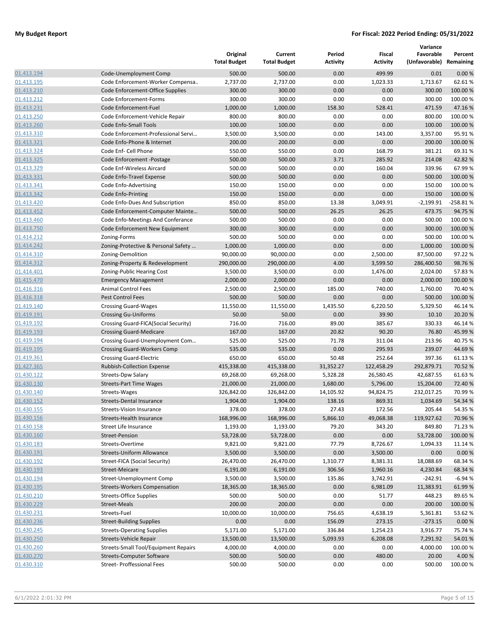|            |                                      | Original<br><b>Total Budget</b> | Current<br><b>Total Budget</b> | Period<br><b>Activity</b> | Fiscal<br><b>Activity</b> | Variance<br>Favorable<br>(Unfavorable) Remaining | Percent    |
|------------|--------------------------------------|---------------------------------|--------------------------------|---------------------------|---------------------------|--------------------------------------------------|------------|
| 01.413.194 | Code-Unemployment Comp               | 500.00                          | 500.00                         | 0.00                      | 499.99                    | 0.01                                             | 0.00%      |
| 01.413.195 | Code Enforcement-Worker Compensa     | 2,737.00                        | 2,737.00                       | 0.00                      | 1,023.33                  | 1,713.67                                         | 62.61%     |
| 01.413.210 | Code Enforcement-Office Supplies     | 300.00                          | 300.00                         | 0.00                      | 0.00                      | 300.00                                           | 100.00 %   |
| 01.413.212 | Code Enforcement-Forms               | 300.00                          | 300.00                         | 0.00                      | 0.00                      | 300.00                                           | 100.00%    |
| 01.413.231 | Code Enforcement-Fuel                | 1,000.00                        | 1,000.00                       | 158.30                    | 528.41                    | 471.59                                           | 47.16%     |
| 01.413.250 | Code Enforcement-Vehicle Repair      | 800.00                          | 800.00                         | 0.00                      | 0.00                      | 800.00                                           | 100.00 %   |
| 01.413.260 | <b>Code Enfo-Small Tools</b>         | 100.00                          | 100.00                         | 0.00                      | 0.00                      | 100.00                                           | 100.00 %   |
| 01.413.310 | Code Enforcement-Professional Servi  | 3,500.00                        | 3,500.00                       | 0.00                      | 143.00                    | 3,357.00                                         | 95.91%     |
| 01.413.321 | Code Enfo-Phone & Internet           | 200.00                          | 200.00                         | 0.00                      | 0.00                      | 200.00                                           | 100.00%    |
| 01.413.324 | Code Enf- Cell Phone                 | 550.00                          | 550.00                         | 0.00                      | 168.79                    | 381.21                                           | 69.31%     |
| 01.413.325 | Code Enforcement -Postage            | 500.00                          | 500.00                         | 3.71                      | 285.92                    | 214.08                                           | 42.82 %    |
| 01.413.329 | Code Enf-Wireless Aircard            | 500.00                          | 500.00                         | 0.00                      | 160.04                    | 339.96                                           | 67.99%     |
| 01.413.331 | Code Enfo-Travel Expense             | 500.00                          | 500.00                         | 0.00                      | 0.00                      | 500.00                                           | 100.00 %   |
| 01.413.341 | Code Enfo-Advertising                | 150.00                          | 150.00                         | 0.00                      | 0.00                      | 150.00                                           | 100.00 %   |
| 01.413.342 | Code Enfo-Printing                   | 150.00                          | 150.00                         | 0.00                      | 0.00                      | 150.00                                           | 100.00 %   |
| 01.413.420 | Code Enfo-Dues And Subscription      | 850.00                          | 850.00                         | 13.38                     | 3,049.91                  | $-2,199.91$                                      | $-258.81%$ |
| 01.413.452 | Code Enforcement-Computer Mainte     | 500.00                          | 500.00                         | 26.25                     | 26.25                     | 473.75                                           | 94.75 %    |
| 01.413.460 | Code Enfo-Meetings And Conferance    | 500.00                          | 500.00                         | 0.00                      | 0.00                      | 500.00                                           | 100.00 %   |
| 01.413.750 | Code Enforcement New Equipment       | 300.00                          | 300.00                         | 0.00                      | 0.00                      | 300.00                                           | 100.00%    |
| 01.414.212 | Zoning-Forms                         | 500.00                          | 500.00                         | 0.00                      | 0.00                      | 500.00                                           | 100.00 %   |
| 01.414.242 | Zoning-Protective & Personal Safety  | 1,000.00                        | 1,000.00                       | 0.00                      | 0.00                      | 1,000.00                                         | 100.00 %   |
| 01.414.310 | Zoning-Demolition                    | 90,000.00                       | 90,000.00                      | 0.00                      | 2,500.00                  | 87,500.00                                        | 97.22%     |
| 01.414.312 | Zoning-Property & Redevelopment      | 290,000.00                      | 290,000.00                     | 4.00                      | 3,599.50                  | 286,400.50                                       | 98.76%     |
| 01.414.401 | Zoning-Public Hearing Cost           | 3,500.00                        | 3,500.00                       | 0.00                      | 1,476.00                  | 2,024.00                                         | 57.83%     |
| 01.415.470 | <b>Emergency Management</b>          | 2,000.00                        | 2,000.00                       | 0.00                      | 0.00                      | 2,000.00                                         | 100.00 %   |
| 01.416.316 | <b>Animal Control Fees</b>           | 2,500.00                        | 2,500.00                       | 185.00                    | 740.00                    | 1,760.00                                         | 70.40%     |
| 01.416.318 | Pest Control Fees                    | 500.00                          | 500.00                         | 0.00                      | 0.00                      | 500.00                                           | 100.00 %   |
| 01.419.140 | <b>Crossing Guard-Wages</b>          | 11,550.00                       | 11,550.00                      | 1,435.50                  | 6,220.50                  | 5,329.50                                         | 46.14%     |
| 01.419.191 | <b>Crossing Gu-Uniforms</b>          | 50.00                           | 50.00                          | 0.00                      | 39.90                     | 10.10                                            | 20.20%     |
| 01.419.192 | Crossing Guard-FICA(Social Security) | 716.00                          | 716.00                         | 89.00                     | 385.67                    | 330.33                                           | 46.14%     |
| 01.419.193 | <b>Crossing Guard-Medicare</b>       | 167.00                          | 167.00                         | 20.82                     | 90.20                     | 76.80                                            | 45.99%     |
| 01.419.194 | Crossing Guard-Unemployment Com      | 525.00                          | 525.00                         | 71.78                     | 311.04                    | 213.96                                           | 40.75 %    |
| 01.419.195 | <b>Crossing Guard-Workers Comp</b>   | 535.00                          | 535.00                         | 0.00                      | 295.93                    | 239.07                                           | 44.69%     |
| 01.419.361 | <b>Crossing Guard-Electric</b>       | 650.00                          | 650.00                         | 50.48                     | 252.64                    | 397.36                                           | 61.13%     |
| 01.427.365 | <b>Rubbish-Collection Expense</b>    | 415,338.00                      | 415,338.00                     | 31,352.27                 | 122,458.29                | 292,879.71                                       | 70.52 %    |
| 01.430.122 | Streets-Dpw Salary                   | 69,268.00                       | 69,268.00                      | 5,328.28                  | 26,580.45                 | 42,687.55                                        | 61.63%     |
| 01.430.130 | <b>Streets-Part Time Wages</b>       | 21,000.00                       | 21,000.00                      | 1,680.00                  | 5,796.00                  | 15,204.00                                        | 72.40%     |
| 01.430.140 | Streets-Wages                        | 326,842.00                      | 326,842.00                     | 14,105.92                 | 94,824.75                 | 232,017.25                                       | 70.99%     |
| 01.430.152 | <b>Streets-Dental Insurance</b>      | 1,904.00                        | 1,904.00                       | 138.16                    | 869.31                    | 1,034.69                                         | 54.34 %    |
| 01.430.155 | Streets-Vision Insurance             | 378.00                          | 378.00                         | 27.43                     | 172.56                    | 205.44                                           | 54.35 %    |
| 01.430.156 | Streets-Health Insurance             | 168,996.00                      | 168,996.00                     | 5,866.10                  | 49,068.38                 | 119,927.62                                       | 70.96%     |
| 01.430.158 | Street Life Insurance                | 1,193.00                        | 1,193.00                       | 79.20                     | 343.20                    | 849.80                                           | 71.23 %    |
| 01.430.160 | Street-Pension                       | 53,728.00                       | 53,728.00                      | 0.00                      | 0.00                      | 53,728.00                                        | 100.00 %   |
| 01.430.183 | Streets-Overtime                     | 9,821.00                        | 9,821.00                       | 77.79                     | 8,726.67                  | 1,094.33                                         | 11.14 %    |
| 01.430.191 | <b>Streets-Uniform Allowance</b>     | 3,500.00                        | 3,500.00                       | 0.00                      | 3,500.00                  | 0.00                                             | 0.00%      |
| 01.430.192 | Street-FICA (Social Security)        | 26,470.00                       | 26,470.00                      | 1,310.77                  | 8,381.31                  | 18,088.69                                        | 68.34%     |
| 01.430.193 | Street-Meicare                       | 6,191.00                        | 6,191.00                       | 306.56                    | 1,960.16                  | 4,230.84                                         | 68.34 %    |
| 01.430.194 | Street-Unemployment Comp             | 3,500.00                        | 3,500.00                       | 135.86                    | 3,742.91                  | $-242.91$                                        | $-6.94%$   |
| 01.430.195 | <b>Streets-Workers Compensation</b>  | 18,365.00                       | 18,365.00                      | 0.00                      | 6,981.09                  | 11,383.91                                        | 61.99%     |
| 01.430.210 | <b>Streets-Office Supplies</b>       | 500.00                          | 500.00                         | 0.00                      | 51.77                     | 448.23                                           | 89.65%     |
| 01.430.229 | Street-Meals                         | 200.00                          | 200.00                         | 0.00                      | 0.00                      | 200.00                                           | 100.00 %   |
| 01.430.231 | Streets-Fuel                         | 10,000.00                       | 10,000.00                      | 756.65                    | 4,638.19                  | 5,361.81                                         | 53.62%     |
| 01.430.236 | <b>Street-Building Supplies</b>      | 0.00                            | 0.00                           | 156.09                    | 273.15                    | $-273.15$                                        | 0.00%      |
| 01.430.245 | <b>Streets-Operating Supplies</b>    | 5,171.00                        | 5,171.00                       | 336.84                    | 1,254.23                  | 3,916.77                                         | 75.74 %    |
| 01.430.250 | Streets-Vehicle Repair               | 13,500.00                       | 13,500.00                      | 5,093.93                  | 6,208.08                  | 7,291.92                                         | 54.01%     |
| 01.430.260 | Streets-Small Tool/Equipment Repairs | 4,000.00                        | 4,000.00                       | 0.00                      | 0.00                      | 4,000.00                                         | 100.00 %   |
| 01.430.270 | <b>Streets-Computer Software</b>     | 500.00                          | 500.00                         | 0.00                      | 480.00                    | 20.00                                            | 4.00 %     |
| 01.430.310 | <b>Street- Proffessional Fees</b>    | 500.00                          | 500.00                         | 0.00                      | 0.00                      | 500.00                                           | 100.00%    |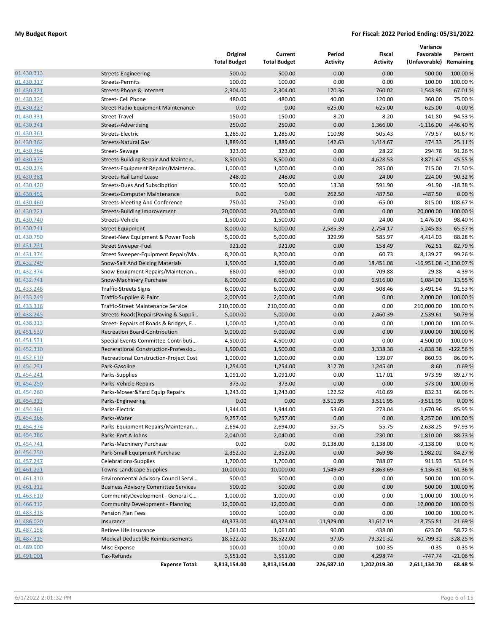|            |                                             | Original<br><b>Total Budget</b> | Current<br><b>Total Budget</b> | Period<br><b>Activity</b> | Fiscal<br><b>Activity</b> | Variance<br>Favorable<br>(Unfavorable) | Percent<br>Remaining   |
|------------|---------------------------------------------|---------------------------------|--------------------------------|---------------------------|---------------------------|----------------------------------------|------------------------|
| 01.430.313 | Streets-Engineering                         | 500.00                          | 500.00                         | 0.00                      | 0.00                      | 500.00                                 | 100.00 %               |
| 01.430.317 | <b>Streets-Permits</b>                      | 100.00                          | 100.00                         | 0.00                      | 0.00                      | 100.00                                 | 100.00 %               |
| 01.430.321 | Streets-Phone & Internet                    | 2,304.00                        | 2,304.00                       | 170.36                    | 760.02                    | 1,543.98                               | 67.01%                 |
| 01.430.324 | Street- Cell Phone                          | 480.00                          | 480.00                         | 40.00                     | 120.00                    | 360.00                                 | 75.00 %                |
| 01.430.327 | Street-Radio Equipment Maintenance          | 0.00                            | 0.00                           | 625.00                    | 625.00                    | $-625.00$                              | 0.00%                  |
| 01.430.331 | Street-Travel                               | 150.00                          | 150.00                         | 8.20                      | 8.20                      | 141.80                                 | 94.53%                 |
| 01.430.341 | <b>Streets-Advertising</b>                  | 250.00                          | 250.00                         | 0.00                      | 1,366.00                  | $-1,116.00$                            | -446.40%               |
| 01.430.361 | Streets-Electric                            | 1,285.00                        | 1,285.00                       | 110.98                    | 505.43                    | 779.57                                 | 60.67%                 |
| 01.430.362 | <b>Streets-Natural Gas</b>                  | 1,889.00                        | 1,889.00                       | 142.63                    | 1,414.67                  | 474.33                                 | 25.11%                 |
| 01.430.364 | Street-Sewage                               | 323.00                          | 323.00                         | 0.00                      | 28.22                     | 294.78                                 | 91.26%                 |
| 01.430.373 | Streets-Building Repair And Mainten         | 8,500.00                        | 8,500.00                       | 0.00                      | 4,628.53                  | 3,871.47                               | 45.55 %                |
| 01.430.374 | Streets-Equipment Repairs/Maintena          | 1,000.00                        | 1,000.00                       | 0.00                      | 285.00                    | 715.00                                 | 71.50%                 |
| 01.430.381 | <b>Streets-Rail Land Lease</b>              | 248.00                          | 248.00                         | 0.00                      | 24.00                     | 224.00                                 | 90.32 %                |
| 01.430.420 | <b>Streets-Dues And Subscibption</b>        | 500.00                          | 500.00                         | 13.38                     | 591.90                    | $-91.90$                               | $-18.38%$              |
| 01.430.452 | <b>Streets-Computer Maintenance</b>         | 0.00                            | 0.00                           | 262.50                    | 487.50                    | $-487.50$                              | 0.00%                  |
| 01.430.460 | <b>Streets-Meeting And Conference</b>       | 750.00                          | 750.00                         | 0.00                      | $-65.00$                  | 815.00                                 | 108.67%                |
| 01.430.721 | Streets-Building Improvement                | 20,000.00                       | 20,000.00                      | 0.00                      | 0.00                      | 20,000.00                              | 100.00 %               |
| 01.430.740 | Streets-Vehicle                             | 1,500.00                        | 1,500.00                       | 0.00                      | 24.00                     | 1,476.00                               | 98.40%                 |
| 01.430.741 | <b>Street Equipment</b>                     | 8,000.00                        | 8,000.00                       | 2,585.39                  | 2,754.17                  | 5,245.83                               | 65.57%                 |
| 01.430.750 | Street-New Equipment & Power Tools          | 5,000.00                        | 5,000.00                       | 329.99                    | 585.97                    | 4,414.03                               | 88.28%                 |
| 01.431.231 | <b>Street Sweeper-Fuel</b>                  | 921.00                          | 921.00                         | 0.00                      | 158.49                    | 762.51                                 | 82.79%                 |
| 01.431.374 | Street Sweeper-Equipment Repair/Ma          | 8,200.00                        | 8,200.00                       | 0.00                      | 60.73                     | 8,139.27                               | 99.26%                 |
| 01.432.249 | Snow-Salt And Deicing Materials             | 1,500.00                        | 1,500.00                       | 0.00                      | 18,451.08                 |                                        | -16,951.08 -1,130.07 % |
| 01.432.374 | Snow-Equipment Repairs/Maintenan            | 680.00                          | 680.00                         | 0.00                      | 709.88                    | $-29.88$                               | $-4.39%$               |
| 01.432.741 | Snow-Machinery Purchase                     | 8,000.00                        | 8,000.00                       | 0.00                      | 6,916.00                  | 1,084.00                               | 13.55 %                |
| 01.433.246 | <b>Traffic-Streets Signs</b>                | 6,000.00                        | 6,000.00                       | 0.00                      | 508.46                    | 5,491.54                               | 91.53 %                |
| 01.433.249 | Traffic-Supplies & Paint                    | 2,000.00                        | 2,000.00                       | 0.00                      | 0.00                      | 2,000.00                               | 100.00 %               |
| 01.433.316 | <b>Traffic-Street Maintenance Service</b>   | 210,000.00                      | 210,000.00                     | 0.00                      | 0.00                      | 210,000.00                             | 100.00 %               |
| 01.438.245 | Streets-Roads[RepairsPaving & Suppli        | 5,000.00                        | 5,000.00                       | 0.00                      | 2,460.39                  | 2,539.61                               | 50.79 %                |
| 01.438.313 | Street- Repairs of Roads & Bridges, E       | 1,000.00                        | 1,000.00                       | 0.00                      | 0.00                      | 1,000.00                               | 100.00%                |
| 01.451.530 | <b>Recreation Board-Contribution</b>        | 9,000.00                        | 9,000.00                       | 0.00                      | 0.00                      | 9,000.00                               | 100.00 %               |
| 01.451.531 | Special Events Committee-Contributi         | 4,500.00                        | 4,500.00                       | 0.00                      | 0.00                      | 4,500.00                               | 100.00 %               |
| 01.452.310 | Recrerational Construction-Professio        | 1,500.00                        | 1,500.00                       | 0.00                      | 3,338.38                  | $-1,838.38$                            | $-122.56%$             |
| 01.452.610 | Recreational Construction-Project Cost      | 1,000.00                        | 1,000.00                       | 0.00                      | 139.07                    | 860.93                                 | 86.09%                 |
| 01.454.231 | Park-Gasoline                               | 1,254.00                        | 1,254.00                       | 312.70                    | 1,245.40                  | 8.60                                   | 0.69%                  |
| 01.454.241 | Parks-Supplies                              | 1,091.00                        | 1,091.00                       | 0.00                      | 117.01                    | 973.99                                 | 89.27%                 |
| 01.454.250 | Parks-Vehicle Repairs                       | 373.00                          | 373.00                         | 0.00                      | 0.00                      | 373.00                                 | 100.00 %               |
| 01.454.260 | Parks-Mower&Yard Equip Repairs              | 1,243.00                        | 1,243.00                       | 122.52                    | 410.69                    | 832.31                                 | 66.96%                 |
| 01.454.313 | Parks-Engineering                           | 0.00                            | 0.00                           | 3.511.95                  | 3.511.95                  | $-3.511.95$                            | 0.00%                  |
| 01.454.361 | Parks-Electric                              | 1,944.00                        | 1,944.00                       | 53.60                     | 273.04                    | 1,670.96                               | 85.95%                 |
| 01.454.366 | Parks-Water                                 | 9,257.00                        | 9,257.00                       | 0.00                      | 0.00                      | 9,257.00                               | 100.00%                |
| 01.454.374 | Parks-Equipment Repairs/Maintenan           | 2,694.00                        | 2,694.00                       | 55.75                     | 55.75                     | 2,638.25                               | 97.93%                 |
| 01.454.386 | Parks-Port A Johns                          | 2,040.00                        | 2,040.00                       | 0.00                      | 230.00                    | 1,810.00                               | 88.73%                 |
| 01.454.741 | Parks-Machinery Purchase                    | 0.00                            | 0.00                           | 9,138.00                  | 9,138.00                  | $-9,138.00$                            | 0.00%                  |
| 01.454.750 | Park-Small Equipment Purchase               | 2,352.00                        | 2,352.00                       | 0.00                      | 369.98                    | 1,982.02                               | 84.27%                 |
| 01.457.247 | Celebrations-Supplies                       | 1,700.00                        | 1,700.00                       | 0.00                      | 788.07                    | 911.93                                 | 53.64 %                |
| 01.461.221 | <b>Towns-Landscape Supplies</b>             | 10,000.00                       | 10,000.00                      | 1,549.49                  | 3,863.69                  | 6,136.31                               | 61.36%                 |
| 01.461.310 | Environmental Advisory Council Servi        | 500.00                          | 500.00                         | 0.00                      | 0.00                      | 500.00                                 | 100.00 %               |
| 01.461.312 | <b>Business Advisory Committee Services</b> | 500.00                          | 500.00                         | 0.00                      | 0.00                      | 500.00                                 | 100.00 %               |
| 01.463.610 | CommunityDevelopment - General C            | 1,000.00                        | 1,000.00                       | 0.00                      | 0.00                      | 1,000.00                               | 100.00%                |
| 01.466.312 | <b>Community Development - Planning</b>     | 12,000.00                       | 12,000.00                      | 0.00                      | 0.00                      | 12,000.00                              | 100.00 %               |
| 01.483.318 | Pension Plan Fees                           | 100.00                          | 100.00                         | 0.00                      | 0.00                      | 100.00                                 | 100.00 %               |
| 01.486.020 | Insurance                                   | 40,373.00                       | 40,373.00                      | 11,929.00                 | 31,617.19                 | 8,755.81                               | 21.69%                 |
| 01.487.158 | Retiree Life Insurance                      | 1,061.00                        | 1,061.00                       | 90.00                     | 438.00                    | 623.00                                 | 58.72 %                |
| 01.487.315 | Medical Deductible Reimbursements           | 18,522.00                       | 18,522.00                      | 97.05                     | 79,321.32                 | $-60,799.32$                           | -328.25 %              |
| 01.489.900 | Misc Expense                                | 100.00                          | 100.00                         | 0.00                      | 100.35                    | $-0.35$                                | $-0.35%$               |
| 01.491.001 | Tax-Refunds                                 | 3,551.00                        | 3,551.00                       | 0.00                      | 4,298.74                  | $-747.74$                              | $-21.06%$              |
|            | <b>Expense Total:</b>                       | 3,813,154.00                    | 3,813,154.00                   | 226,587.10                | 1,202,019.30              | 2,611,134.70                           | 68.48%                 |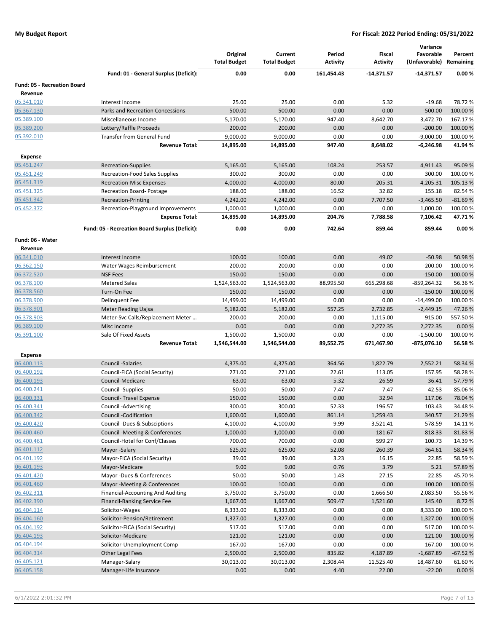|                                    |                                                |                                 |                                |                           |                           | Variance                             |           |
|------------------------------------|------------------------------------------------|---------------------------------|--------------------------------|---------------------------|---------------------------|--------------------------------------|-----------|
|                                    |                                                | Original<br><b>Total Budget</b> | Current<br><b>Total Budget</b> | Period<br><b>Activity</b> | Fiscal<br><b>Activity</b> | Favorable<br>(Unfavorable) Remaining | Percent   |
|                                    | Fund: 01 - General Surplus (Deficit):          | 0.00                            | 0.00                           | 161,454.43                | $-14,371.57$              | $-14,371.57$                         | 0.00%     |
| <b>Fund: 05 - Recreation Board</b> |                                                |                                 |                                |                           |                           |                                      |           |
| Revenue                            |                                                |                                 |                                |                           |                           |                                      |           |
| 05.341.010                         | Interest Income                                | 25.00                           | 25.00                          | 0.00                      | 5.32                      | $-19.68$                             | 78.72 %   |
| 05.367.130                         | Parks and Recreation Concessions               | 500.00                          | 500.00                         | 0.00                      | 0.00                      | $-500.00$                            | 100.00%   |
| 05.389.100                         | Miscellaneous Income                           | 5,170.00                        | 5,170.00                       | 947.40                    | 8,642.70                  | 3,472.70                             | 167.17%   |
| 05.389.200                         | Lottery/Raffle Proceeds                        | 200.00                          | 200.00                         | 0.00                      | 0.00                      | $-200.00$                            | 100.00 %  |
| 05.392.010                         | <b>Transfer from General Fund</b>              | 9,000.00                        | 9,000.00                       | 0.00                      | 0.00                      | $-9,000.00$                          | 100.00 %  |
|                                    | <b>Revenue Total:</b>                          | 14,895.00                       | 14,895.00                      | 947.40                    | 8,648.02                  | -6,246.98                            | 41.94%    |
|                                    |                                                |                                 |                                |                           |                           |                                      |           |
| <b>Expense</b>                     |                                                |                                 |                                |                           |                           |                                      | 95.09%    |
| 05.451.247                         | Recreation-Supplies                            | 5,165.00                        | 5,165.00                       | 108.24                    | 253.57                    | 4,911.43                             |           |
| 05.451.249                         | <b>Recreation-Food Sales Supplies</b>          | 300.00                          | 300.00                         | 0.00                      | 0.00                      | 300.00                               | 100.00 %  |
| 05.451.319                         | <b>Recreation-Misc Expenses</b>                | 4,000.00                        | 4,000.00                       | 80.00                     | $-205.31$                 | 4,205.31                             | 105.13%   |
| 05.451.325                         | <b>Recreation Board-Postage</b>                | 188.00                          | 188.00                         | 16.52                     | 32.82                     | 155.18                               | 82.54%    |
| 05.451.342                         | <b>Recreation-Printing</b>                     | 4,242.00                        | 4,242.00                       | 0.00                      | 7,707.50                  | $-3,465.50$                          | $-81.69%$ |
| 05.452.372                         | Recreation-Playground Improvements             | 1,000.00                        | 1,000.00                       | 0.00                      | 0.00                      | 1,000.00                             | 100.00 %  |
|                                    | <b>Expense Total:</b>                          | 14,895.00                       | 14,895.00                      | 204.76                    | 7,788.58                  | 7,106.42                             | 47.71%    |
|                                    | Fund: 05 - Recreation Board Surplus (Deficit): | 0.00                            | 0.00                           | 742.64                    | 859.44                    | 859.44                               | 0.00%     |
| Fund: 06 - Water<br>Revenue        |                                                |                                 |                                |                           |                           |                                      |           |
| 06.341.010                         | Interest Income                                | 100.00                          | 100.00                         | 0.00                      | 49.02                     | $-50.98$                             | 50.98%    |
| 06.362.150                         | Water Wages Reimbursement                      | 200.00                          | 200.00                         | 0.00                      | 0.00                      | $-200.00$                            | 100.00%   |
| 06.372.520                         | <b>NSF Fees</b>                                | 150.00                          | 150.00                         | 0.00                      | 0.00                      | $-150.00$                            | 100.00 %  |
| 06.378.100                         | <b>Metered Sales</b>                           | 1,524,563.00                    | 1,524,563.00                   | 88,995.50                 | 665,298.68                | $-859,264.32$                        | 56.36%    |
| 06.378.560                         | Turn-On Fee                                    | 150.00                          | 150.00                         | 0.00                      | 0.00                      | $-150.00$                            | 100.00%   |
| 06.378.900                         | Delinquent Fee                                 | 14,499.00                       | 14,499.00                      | 0.00                      | 0.00                      | $-14,499.00$                         | 100.00%   |
| 06.378.901                         | Meter Reading Uajsa                            | 5,182.00                        | 5,182.00                       | 557.25                    | 2,732.85                  | $-2,449.15$                          | 47.26%    |
| 06.378.903                         | Meter-Svc Calls/Replacement Meter              | 200.00                          | 200.00                         | 0.00                      | 1,115.00                  | 915.00                               | 557.50%   |
| 06.389.100                         | Misc Income                                    | 0.00                            | 0.00                           | 0.00                      | 2,272.35                  | 2,272.35                             | 0.00%     |
| 06.391.100                         | Sale Of Fixed Assets                           | 1,500.00                        | 1,500.00                       | 0.00                      | 0.00                      | $-1,500.00$                          | 100.00%   |
|                                    | <b>Revenue Total:</b>                          | 1,546,544.00                    | 1,546,544.00                   | 89,552.75                 | 671,467.90                | -875,076.10                          | 56.58%    |
|                                    |                                                |                                 |                                |                           |                           |                                      |           |
| <b>Expense</b>                     |                                                |                                 |                                |                           |                           |                                      |           |
| 06.400.113                         | <b>Council -Salaries</b>                       | 4,375.00                        | 4,375.00                       | 364.56                    | 1,822.79                  | 2,552.21                             | 58.34 %   |
| 06.400.192                         | Council-FICA (Social Security)                 | 271.00                          | 271.00                         | 22.61                     | 113.05                    | 157.95                               | 58.28%    |
| 06.400.193                         | Council-Medicare                               | 63.00                           | 63.00                          | 5.32                      | 26.59                     | 36.41                                | 57.79 %   |
| 06.400.241                         | Council -Supplies                              | 50.00                           | 50.00                          | 7.47                      | 7.47                      | 42.53                                | 85.06%    |
| 06.400.331                         | Council- Travel Expense                        | 150.00                          | 150.00                         | 0.00                      | 32.94                     | 117.06                               | 78.04 %   |
| 06.400.341                         | Council - Advertising                          | 300.00                          | 300.00                         | 52.33                     | 196.57                    | 103.43                               | 34.48%    |
| 06.400.342                         | Council -Codification                          | 1,600.00                        | 1,600.00                       | 861.14                    | 1,259.43                  | 340.57                               | 21.29%    |
| 06.400.420                         | Council -Dues & Subsciptions                   | 4,100.00                        | 4,100.00                       | 9.99                      | 3,521.41                  | 578.59                               | 14.11%    |
| 06.400.460                         | <b>Council -Meeting &amp; Conferences</b>      | 1,000.00                        | 1,000.00                       | 0.00                      | 181.67                    | 818.33                               | 81.83%    |
| 06.400.461                         | Council-Hotel for Conf/Classes                 | 700.00                          | 700.00                         | 0.00                      | 599.27                    | 100.73                               | 14.39%    |
| 06.401.112                         | Mayor -Salary                                  | 625.00                          | 625.00                         | 52.08                     | 260.39                    | 364.61                               | 58.34%    |
| 06.401.192                         | Mayor-FICA (Social Security)                   | 39.00                           | 39.00                          | 3.23                      | 16.15                     | 22.85                                | 58.59%    |
| 06.401.193                         | Mayor-Medicare                                 | 9.00                            | 9.00                           | 0.76                      | 3.79                      | 5.21                                 | 57.89%    |
| 06.401.420                         | Mayor -Dues & Conferences                      | 50.00                           | 50.00                          | 1.43                      | 27.15                     | 22.85                                | 45.70%    |
| 06.401.460                         | Mayor -Meeting & Conferences                   | 100.00                          | 100.00                         | 0.00                      | 0.00                      | 100.00                               | 100.00 %  |
| 06.402.311                         | <b>Financial-Accounting And Auditing</b>       | 3,750.00                        | 3,750.00                       | 0.00                      | 1,666.50                  | 2,083.50                             | 55.56%    |
| 06.402.390                         | Financil-Banking Service Fee                   | 1,667.00                        | 1,667.00                       | 509.47                    | 1,521.60                  | 145.40                               | 8.72%     |
| 06.404.114                         | Solicitor-Wages                                | 8,333.00                        | 8,333.00                       | 0.00                      | 0.00                      | 8,333.00                             | 100.00%   |
| 06.404.160                         | Solicitor-Pension/Retirement                   | 1,327.00                        | 1,327.00                       | 0.00                      | 0.00                      | 1,327.00                             | 100.00 %  |
| 06.404.192                         | Solicitor-FICA (Social Security)               | 517.00                          | 517.00                         | 0.00                      | 0.00                      | 517.00                               | 100.00 %  |
| 06.404.193                         | Solicitor-Medicare                             | 121.00                          | 121.00                         | 0.00                      | 0.00                      | 121.00                               | 100.00 %  |
| 06.404.194                         | Solicitor-Unemployment Comp                    | 167.00                          | 167.00                         | 0.00                      | 0.00                      | 167.00                               | 100.00%   |
| 06.404.314                         | Other Legal Fees                               | 2,500.00                        | 2,500.00                       | 835.82                    | 4,187.89                  | $-1,687.89$                          | $-67.52%$ |
| 06.405.121                         | Manager-Salary                                 | 30,013.00                       | 30,013.00                      | 2,308.44                  | 11,525.40                 | 18,487.60                            | 61.60%    |
| 06.405.158                         | Manager-Life Insurance                         | 0.00                            | 0.00                           | 4.40                      | 22.00                     | $-22.00$                             | 0.00%     |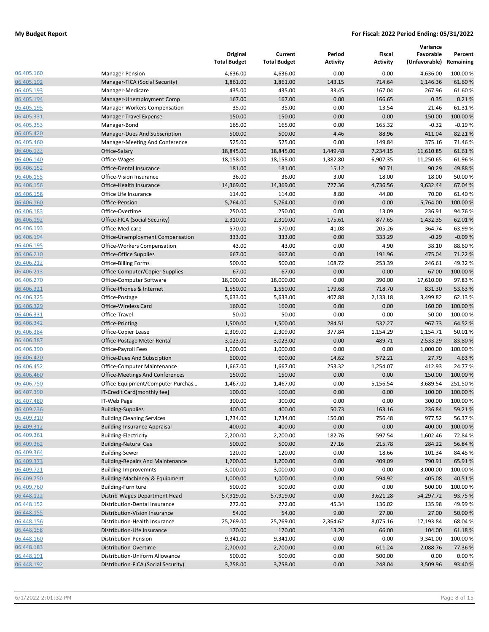|                          |                                                    | Original<br><b>Total Budget</b> | Current<br><b>Total Budget</b> | Period<br><b>Activity</b> | Fiscal<br><b>Activity</b> | Variance<br>Favorable<br>(Unfavorable) | Percent<br>Remaining |
|--------------------------|----------------------------------------------------|---------------------------------|--------------------------------|---------------------------|---------------------------|----------------------------------------|----------------------|
| 06.405.160               | Manager-Pension                                    | 4,636.00                        | 4,636.00                       | 0.00                      | 0.00                      | 4,636.00                               | 100.00 %             |
| 06.405.192               | Manager-FICA (Social Security)                     | 1,861.00                        | 1,861.00                       | 143.15                    | 714.64                    | 1,146.36                               | 61.60%               |
| 06.405.193               | Manager-Medicare                                   | 435.00                          | 435.00                         | 33.45                     | 167.04                    | 267.96                                 | 61.60%               |
| 06.405.194               | Manager-Unemployment Comp                          | 167.00                          | 167.00                         | 0.00                      | 166.65                    | 0.35                                   | 0.21%                |
| 06.405.195               | Manager-Workers Compensation                       | 35.00                           | 35.00                          | 0.00                      | 13.54                     | 21.46                                  | 61.31%               |
| 06.405.331               | Manager-Travel Expense                             | 150.00                          | 150.00                         | 0.00                      | 0.00                      | 150.00                                 | 100.00 %             |
| 06.405.353               | Manager-Bond                                       | 165.00                          | 165.00                         | 0.00                      | 165.32                    | $-0.32$                                | $-0.19%$             |
| 06.405.420               | Manager-Dues And Subscription                      | 500.00                          | 500.00                         | 4.46                      | 88.96                     | 411.04                                 | 82.21%               |
| 06.405.460               | Manager-Meeting And Conference                     | 525.00                          | 525.00                         | 0.00                      | 149.84                    | 375.16                                 | 71.46%               |
| 06.406.122               | Office-Salary                                      | 18,845.00                       | 18,845.00                      | 1,449.48                  | 7,234.15                  | 11,610.85                              | 61.61%               |
| 06.406.140               | Office-Wages                                       | 18,158.00                       | 18,158.00                      | 1,382.80                  | 6,907.35                  | 11,250.65                              | 61.96%               |
| 06.406.152               | Office-Dental Insurance                            | 181.00                          | 181.00                         | 15.12                     | 90.71                     | 90.29                                  | 49.88%               |
| 06.406.155               | Office-Vision Insurance                            | 36.00                           | 36.00                          | 3.00                      | 18.00                     | 18.00                                  | 50.00%               |
| 06.406.156               | Office-Health Insurance                            | 14,369.00                       | 14,369.00                      | 727.36                    | 4,736.56                  | 9,632.44                               | 67.04 %              |
| 06.406.158               | Office Life Insurance                              | 114.00                          | 114.00                         | 8.80                      | 44.00                     | 70.00                                  | 61.40%               |
| 06.406.160               | Office-Pension                                     | 5,764.00                        | 5,764.00                       | 0.00                      | 0.00                      | 5,764.00                               | 100.00 %             |
| 06.406.183               | Office-Overtime                                    | 250.00                          | 250.00                         | 0.00                      | 13.09                     | 236.91                                 | 94.76%               |
| 06.406.192               | Office-FICA (Social Security)                      | 2,310.00                        | 2,310.00                       | 175.61                    | 877.65                    | 1,432.35                               | 62.01%               |
| 06.406.193               | Office-Medicare                                    | 570.00                          | 570.00                         | 41.08                     | 205.26                    | 364.74                                 | 63.99%               |
| 06.406.194               | Office-Unemployment Compensation                   | 333.00                          | 333.00                         | 0.00                      | 333.29                    | $-0.29$                                | $-0.09%$             |
| 06.406.195               | Office-Workers Compensation                        | 43.00                           | 43.00                          | 0.00                      | 4.90                      | 38.10                                  | 88.60%               |
| 06.406.210               | Office-Office Supplies                             | 667.00                          | 667.00                         | 0.00                      | 191.96                    | 475.04                                 | 71.22 %              |
| 06.406.212               | <b>Office-Billing Forms</b>                        | 500.00                          | 500.00                         | 108.72                    | 253.39                    | 246.61                                 | 49.32%               |
| 06.406.213               | Office-Computer/Copier Supplies                    | 67.00                           | 67.00                          | 0.00                      | 0.00                      | 67.00                                  | 100.00 %             |
| 06.406.270               | Office-Computer Software                           | 18,000.00                       | 18,000.00                      | 0.00                      | 390.00                    | 17,610.00                              | 97.83%               |
| 06.406.321               | Office-Phones & Internet                           | 1,550.00                        | 1,550.00                       | 179.68                    | 718.70                    | 831.30                                 | 53.63%               |
| 06.406.325               | Office-Postage                                     | 5,633.00                        | 5,633.00                       | 407.88                    | 2,133.18                  | 3,499.82                               | 62.13%               |
| 06.406.329               | Office-Wireless Card                               | 160.00                          | 160.00                         | 0.00                      | 0.00                      | 160.00                                 | 100.00 %             |
| 06.406.331               | Office-Travel                                      | 50.00                           | 50.00                          | 0.00                      | 0.00                      | 50.00                                  | 100.00 %             |
| 06.406.342<br>06.406.384 | Office-Printing                                    | 1,500.00<br>2,309.00            | 1,500.00<br>2,309.00           | 284.51<br>377.84          | 532.27                    | 967.73<br>1,154.71                     | 64.52 %<br>50.01%    |
| 06.406.387               | Office-Copier Lease                                | 3,023.00                        | 3,023.00                       | 0.00                      | 1,154.29<br>489.71        | 2,533.29                               | 83.80%               |
| 06.406.390               | Office-Postage Meter Rental<br>Office-Payroll Fees | 1,000.00                        | 1,000.00                       | 0.00                      | 0.00                      | 1,000.00                               | 100.00 %             |
| 06.406.420               | Office-Dues And Subsciption                        | 600.00                          | 600.00                         | 14.62                     | 572.21                    | 27.79                                  | 4.63 %               |
| 06.406.452               | Office-Computer Maintenance                        | 1,667.00                        | 1,667.00                       | 253.32                    | 1,254.07                  | 412.93                                 | 24.77%               |
| 06.406.460               | Office-Meetings And Conferences                    | 150.00                          | 150.00                         | 0.00                      | 0.00                      | 150.00                                 | 100.00 %             |
| 06.406.750               | Office-Equipment/Computer Purchas                  | 1,467.00                        | 1,467.00                       | 0.00                      | 5,156.54                  | $-3,689.54$                            | $-251.50%$           |
| 06.407.390               | IT-Credit Card[monthly fee]                        | 100.00                          | 100.00                         | 0.00                      | 0.00                      | 100.00                                 | 100.00 %             |
| 06.407.480               | IT-Web Page                                        | 300.00                          | 300.00                         | 0.00                      | 0.00                      | 300.00                                 | 100.00 %             |
| 06.409.236               | <b>Building-Supplies</b>                           | 400.00                          | 400.00                         | 50.73                     | 163.16                    | 236.84                                 | 59.21%               |
| 06.409.310               | <b>Building Cleaning Services</b>                  | 1,734.00                        | 1,734.00                       | 150.00                    | 756.48                    | 977.52                                 | 56.37%               |
| 06.409.312               | <b>Building-Insurance Appraisal</b>                | 400.00                          | 400.00                         | 0.00                      | 0.00                      | 400.00                                 | 100.00%              |
| 06.409.361               | <b>Building-Electricity</b>                        | 2,200.00                        | 2,200.00                       | 182.76                    | 597.54                    | 1,602.46                               | 72.84 %              |
| 06.409.362               | <b>Building-Natural Gas</b>                        | 500.00                          | 500.00                         | 27.16                     | 215.78                    | 284.22                                 | 56.84 %              |
| 06.409.364               | <b>Building-Sewer</b>                              | 120.00                          | 120.00                         | 0.00                      | 18.66                     | 101.34                                 | 84.45 %              |
| 06.409.373               | <b>Building-Repairs And Maintenance</b>            | 1,200.00                        | 1,200.00                       | 0.00                      | 409.09                    | 790.91                                 | 65.91%               |
| 06.409.721               | <b>Building-Improvemnts</b>                        | 3,000.00                        | 3,000.00                       | 0.00                      | 0.00                      | 3,000.00                               | 100.00%              |
| 06.409.750               | Building-Machinery & Equipment                     | 1,000.00                        | 1,000.00                       | 0.00                      | 594.92                    | 405.08                                 | 40.51%               |
| 06.409.760               | <b>Building-Furniture</b>                          | 500.00                          | 500.00                         | 0.00                      | 0.00                      | 500.00                                 | 100.00 %             |
| 06.448.122               | Distrib-Wages Department Head                      | 57,919.00                       | 57,919.00                      | 0.00                      | 3,621.28                  | 54,297.72                              | 93.75 %              |
| 06.448.152               | Distribution-Dental Insurance                      | 272.00                          | 272.00                         | 45.34                     | 136.02                    | 135.98                                 | 49.99%               |
| 06.448.155               | Distribution-Vision Insurance                      | 54.00                           | 54.00                          | 9.00                      | 27.00                     | 27.00                                  | 50.00 %              |
| 06.448.156               | Distribution-Health Insurance                      | 25,269.00                       | 25,269.00                      | 2,364.62                  | 8,075.16                  | 17,193.84                              | 68.04%               |
| 06.448.158               | Distribution-Life Insurance                        | 170.00                          | 170.00                         | 13.20                     | 66.00                     | 104.00                                 | 61.18%               |
| 06.448.160               | Distribution-Pension                               | 9,341.00                        | 9,341.00                       | 0.00                      | 0.00                      | 9,341.00                               | 100.00 %             |
| 06.448.183               | Distribution-Overtime                              | 2,700.00                        | 2,700.00                       | 0.00                      | 611.24                    | 2,088.76                               | 77.36%               |
| 06.448.191               | Distribution-Uniform Allowance                     | 500.00                          | 500.00                         | 0.00                      | 500.00                    | 0.00                                   | 0.00%                |
| 06.448.192               | Distribution-FICA (Social Security)                | 3,758.00                        | 3,758.00                       | 0.00                      | 248.04                    | 3,509.96                               | 93.40%               |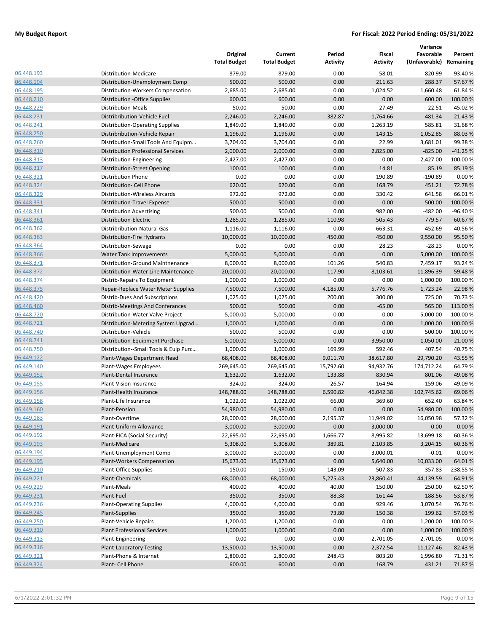|                          |                                           | Original<br><b>Total Budget</b> | Current<br><b>Total Budget</b> | Period<br><b>Activity</b> | Fiscal<br><b>Activity</b> | Variance<br>Favorable<br>(Unfavorable) | Percent<br>Remaining |
|--------------------------|-------------------------------------------|---------------------------------|--------------------------------|---------------------------|---------------------------|----------------------------------------|----------------------|
| 06.448.193               | Distribution-Medicare                     | 879.00                          | 879.00                         | 0.00                      | 58.01                     | 820.99                                 | 93.40%               |
| 06.448.194               | Distribution-Unemployment Comp            | 500.00                          | 500.00                         | 0.00                      | 211.63                    | 288.37                                 | 57.67%               |
| 06.448.195               | Distribution-Workers Compensation         | 2,685.00                        | 2,685.00                       | 0.00                      | 1,024.52                  | 1,660.48                               | 61.84%               |
| 06.448.210               | Distribution - Office Supplies            | 600.00                          | 600.00                         | 0.00                      | 0.00                      | 600.00                                 | 100.00 %             |
| 06.448.229               | Distribution-Meals                        | 50.00                           | 50.00                          | 0.00                      | 27.49                     | 22.51                                  | 45.02%               |
| 06.448.231               | Distribribution-Vehicle Fuel              | 2,246.00                        | 2,246.00                       | 382.87                    | 1,764.66                  | 481.34                                 | 21.43 %              |
| 06.448.241               | <b>Distribution-Operating Supplies</b>    | 1,849.00                        | 1,849.00                       | 0.00                      | 1,263.19                  | 585.81                                 | 31.68%               |
| 06.448.250               | Distribribution-Vehicle Repair            | 1,196.00                        | 1,196.00                       | 0.00                      | 143.15                    | 1,052.85                               | 88.03%               |
| 06.448.260               | Distribution-Small Tools And Equipm       | 3,704.00                        | 3,704.00                       | 0.00                      | 22.99                     | 3,681.01                               | 99.38%               |
| 06.448.310               | <b>Distribution Professional Services</b> | 2,000.00                        | 2,000.00                       | 0.00                      | 2,825.00                  | $-825.00$                              | $-41.25%$            |
| 06.448.313               | Distribution-Engineering                  | 2,427.00                        | 2,427.00                       | 0.00                      | 0.00                      | 2,427.00                               | 100.00 %             |
| 06.448.317               | Distribution-Street Opening               | 100.00                          | 100.00                         | 0.00                      | 14.81                     | 85.19                                  | 85.19%               |
| 06.448.321               | <b>Distribution Phone</b>                 | 0.00                            | 0.00                           | 0.00                      | 190.89                    | $-190.89$                              | 0.00%                |
| 06.448.324               | Distribution- Cell Phone                  | 620.00                          | 620.00                         | 0.00                      | 168.79                    | 451.21                                 | 72.78%               |
| 06.448.329               | Distribution-Wireless Aircards            | 972.00                          | 972.00                         | 0.00                      | 330.42                    | 641.58                                 | 66.01%               |
| 06.448.331               | Distribution-Travel Expense               | 500.00                          | 500.00                         | 0.00                      | 0.00                      | 500.00                                 | 100.00%              |
| 06.448.341               | <b>Distribution Advertising</b>           | 500.00                          | 500.00                         | 0.00                      | 982.00                    | $-482.00$                              | $-96.40%$            |
| 06.448.361               | Distribution-Electric                     | 1,285.00                        | 1,285.00                       | 110.98                    | 505.43                    | 779.57                                 | 60.67%               |
| 06.448.362               | Distribribution-Natural Gas               | 1,116.00                        | 1,116.00                       | 0.00                      | 663.31                    | 452.69                                 | 40.56%               |
| 06.448.363               | <b>Distribution-Fire Hydrants</b>         | 10,000.00                       | 10,000.00                      | 450.00                    | 450.00                    | 9,550.00                               | 95.50%               |
| 06.448.364               | Distribution-Sewage                       | 0.00                            | 0.00                           | 0.00                      | 28.23                     | $-28.23$                               | 0.00%                |
| 06.448.366               | <b>Water Tank Improvements</b>            | 5,000.00                        | 5,000.00                       | 0.00                      | 0.00                      | 5,000.00                               | 100.00%              |
| 06.448.371               | Distribution-Ground Maintnenance          | 8,000.00                        | 8,000.00                       | 101.26                    | 540.83                    | 7,459.17                               | 93.24%               |
| 06.448.372               | Distribution-Water Line Maintenance       | 20,000.00                       | 20,000.00                      | 117.90                    | 8,103.61                  | 11,896.39                              | 59.48%               |
| 06.448.374               | Distrib-Repairs To Equipment              | 1,000.00                        | 1,000.00                       | 0.00                      | 0.00                      | 1,000.00                               | 100.00 %             |
| 06.448.375               | Repair-Replace Water Meter Supplies       | 7,500.00                        | 7,500.00                       | 4,185.00                  | 5,776.76                  | 1,723.24                               | 22.98%               |
| 06.448.420               | Distrib-Dues And Subscriptions            | 1,025.00                        | 1,025.00                       | 200.00                    | 300.00                    | 725.00                                 | 70.73 %              |
| 06.448.460               | Distrib-Meetings And Conferances          | 500.00                          | 500.00                         | 0.00                      | $-65.00$                  | 565.00                                 | 113.00 %             |
| 06.448.720               | Distribution-Water Valve Project          | 5,000.00                        | 5,000.00                       | 0.00                      | 0.00                      | 5,000.00                               | 100.00%              |
| 06.448.721               | Distribution-Metering System Upgrad       | 1,000.00                        | 1,000.00                       | 0.00                      | 0.00                      | 1,000.00                               | 100.00 %             |
| 06.448.740               | Distribution-Vehicle                      | 500.00                          | 500.00                         | 0.00                      | 0.00                      | 500.00                                 | 100.00 %             |
| 06.448.741               | Distribution-Equipment Purchase           | 5,000.00                        | 5,000.00                       | 0.00                      | 3,950.00                  | 1,050.00                               | 21.00 %              |
| 06.448.750               | Distribution--Small Tools & Euip Purc     | 1,000.00                        | 1,000.00                       | 169.99                    | 592.46                    | 407.54                                 | 40.75%               |
| 06.449.122               | Plant-Wages Department Head               | 68,408.00                       | 68,408.00                      | 9,011.70                  | 38,617.80                 | 29,790.20                              | 43.55%               |
| 06.449.140               | Plant-Wages Employees                     | 269,645.00                      | 269,645.00                     | 15,792.60                 | 94,932.76                 | 174,712.24                             | 64.79%               |
| 06.449.152               | Plant-Dental Insurance                    | 1,632.00                        | 1,632.00                       | 133.88                    | 830.94                    | 801.06                                 | 49.08%               |
| 06.449.155               | Plant-Vision Insurance                    | 324.00                          | 324.00                         | 26.57                     | 164.94                    | 159.06                                 | 49.09%               |
| 06.449.156               | Plant-Health Insurance                    | 148,788.00                      | 148,788.00                     | 6,590.82                  | 46,042.38                 | 102,745.62                             | 69.06%               |
| 06.449.158               | Plant-Life Insurance                      | 1,022.00                        | 1,022.00                       | 66.00                     | 369.60                    | 652.40                                 | 63.84%               |
| 06.449.160               | Plant-Pension                             | 54,980.00                       | 54,980.00                      | 0.00                      | 0.00                      | 54,980.00                              | 100.00 %             |
| 06.449.183               | Plant-Overtime                            | 28,000.00                       | 28,000.00                      | 2,195.37                  | 11,949.02                 | 16,050.98                              | 57.32%               |
| 06.449.191               | Plant-Uniform Allowance                   | 3,000.00                        | 3,000.00                       | 0.00                      | 3,000.00                  | 0.00                                   | 0.00%                |
| 06.449.192               | Plant-FICA (Social Security)              | 22,695.00                       | 22,695.00                      | 1,666.77                  | 8,995.82                  | 13,699.18                              | 60.36%               |
| 06.449.193               | Plant-Medicare                            | 5,308.00                        | 5,308.00                       | 389.81                    | 2,103.85                  | 3,204.15                               | 60.36%               |
| 06.449.194               | Plant-Unemployment Comp                   |                                 |                                | 0.00                      | 3,000.01                  | $-0.01$                                | 0.00%                |
|                          |                                           | 3,000.00                        | 3,000.00                       |                           |                           |                                        |                      |
| 06.449.195               | Plant-Workers Compensation                | 15,673.00                       | 15,673.00                      | 0.00                      | 5,640.00                  | 10,033.00                              | 64.01%               |
| 06.449.210<br>06.449.221 | <b>Plant-Office Supplies</b>              | 150.00                          | 150.00                         | 143.09                    | 507.83                    | $-357.83$                              | -238.55 %            |
|                          | Plant-Chemicals                           | 68,000.00                       | 68,000.00                      | 5,275.43                  | 23,860.41                 | 44,139.59                              | 64.91%               |
| 06.449.229               | Plant-Meals                               | 400.00                          | 400.00                         | 40.00                     | 150.00                    | 250.00                                 | 62.50%               |
| 06.449.231               | Plant-Fuel                                | 350.00                          | 350.00                         | 88.38                     | 161.44                    | 188.56                                 | 53.87%               |
| 06.449.236               | <b>Plant-Operating Supplies</b>           | 4,000.00                        | 4,000.00                       | 0.00                      | 929.46                    | 3,070.54                               | 76.76%               |
| 06.449.245               | Plant-Supplies                            | 350.00                          | 350.00                         | 73.80                     | 150.38                    | 199.62                                 | 57.03 %              |
| 06.449.250               | Plant-Vehicle Repairs                     | 1,200.00                        | 1,200.00                       | 0.00                      | 0.00                      | 1,200.00                               | 100.00 %             |
| 06.449.310               | <b>Plant Professional Services</b>        | 1,000.00                        | 1,000.00                       | 0.00                      | 0.00                      | 1,000.00                               | 100.00 %             |
| 06.449.313               | Plant-Engineering                         | 0.00                            | 0.00                           | 0.00                      | 2,701.05                  | $-2,701.05$                            | 0.00%                |
| 06.449.316               | <b>Plant-Laboratory Testing</b>           | 13,500.00                       | 13,500.00                      | 0.00                      | 2,372.54                  | 11,127.46                              | 82.43%               |
| 06.449.321               | Plant-Phone & Internet                    | 2,800.00                        | 2,800.00                       | 248.43                    | 803.20                    | 1,996.80                               | 71.31%               |
| 06.449.324               | Plant- Cell Phone                         | 600.00                          | 600.00                         | 0.00                      | 168.79                    | 431.21                                 | 71.87%               |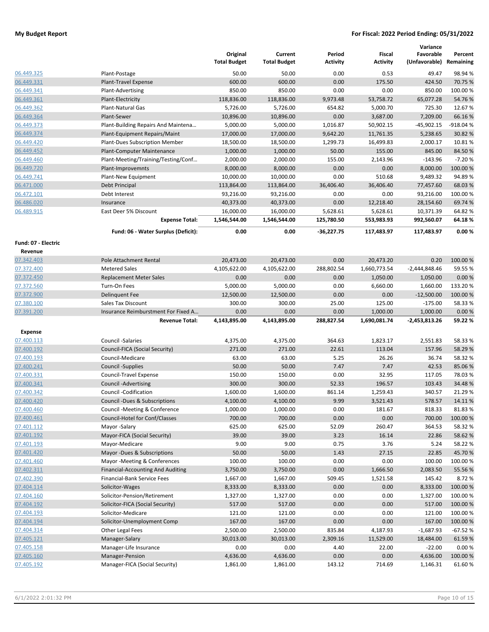|                          |                                               | Original            | Current             | Period          | Fiscal          | Variance<br>Favorable   | Percent           |
|--------------------------|-----------------------------------------------|---------------------|---------------------|-----------------|-----------------|-------------------------|-------------------|
|                          |                                               | <b>Total Budget</b> | <b>Total Budget</b> | <b>Activity</b> | <b>Activity</b> | (Unfavorable) Remaining |                   |
| 06.449.325               | Plant-Postage                                 | 50.00               | 50.00               | 0.00            | 0.53            | 49.47                   | 98.94 %           |
| 06.449.331               | Plant-Travel Expense                          | 600.00              | 600.00              | 0.00            | 175.50          | 424.50                  | 70.75 %           |
| 06.449.341               | Plant-Advertising                             | 850.00              | 850.00              | 0.00            | 0.00            | 850.00                  | 100.00 %          |
| 06.449.361               | Plant-Electricity                             | 118,836.00          | 118,836.00          | 9,973.48        | 53,758.72       | 65,077.28               | 54.76%            |
| 06.449.362               | Plant-Natural Gas                             | 5,726.00            | 5,726.00            | 654.82          | 5,000.70        | 725.30                  | 12.67%            |
| 06.449.364               | Plant-Sewer                                   | 10,896.00           | 10,896.00           | 0.00            | 3,687.00        | 7,209.00                | 66.16%            |
| 06.449.373               | Plant-Building Repairs And Maintena           | 5,000.00            | 5,000.00            | 1,016.87        | 50,902.15       | $-45,902.15$            | $-918.04%$        |
| 06.449.374               | Plant-Equipment Repairs/Maint                 | 17,000.00           | 17,000.00           | 9,642.20        | 11,761.35       | 5,238.65                | 30.82 %           |
| 06.449.420               | Plant-Dues Subscription Member                | 18,500.00           | 18,500.00           | 1,299.73        | 16,499.83       | 2,000.17                | 10.81%            |
| 06.449.452               | Plant-Computer Maintenance                    | 1,000.00            | 1,000.00            | 50.00           | 155.00          | 845.00                  | 84.50 %           |
| 06.449.460               | Plant-Meeting/Training/Testing/Conf           | 2,000.00            | 2,000.00            | 155.00          | 2,143.96        | $-143.96$               | $-7.20%$          |
| 06.449.720               | Plant-Improvemnts                             | 8,000.00            | 8,000.00            | 0.00            | 0.00            | 8,000.00                | 100.00 %          |
| 06.449.741               | Plant-New Equipment                           | 10,000.00           | 10,000.00           | 0.00            | 510.68          | 9,489.32                | 94.89%            |
| 06.471.000               | Debt Principal                                | 113,864.00          | 113,864.00          | 36,406.40       | 36,406.40       | 77,457.60               | 68.03 %           |
| 06.472.101               | Debt Interest                                 | 93,216.00           | 93,216.00           | 0.00            | 0.00            | 93,216.00               | 100.00 %          |
| 06.486.020               | Insurance                                     | 40,373.00           | 40,373.00           | 0.00            | 12,218.40       | 28,154.60               | 69.74 %           |
| 06.489.915               | East Deer 5% Discount                         | 16,000.00           | 16,000.00           | 5,628.61        | 5,628.61        | 10,371.39               | 64.82%            |
|                          | <b>Expense Total:</b>                         | 1,546,544.00        | 1,546,544.00        | 125,780.50      | 553,983.93      | 992,560.07              | 64.18%            |
|                          | Fund: 06 - Water Surplus (Deficit):           | 0.00                | 0.00                | $-36,227.75$    | 117,483.97      | 117,483.97              | 0.00%             |
| Fund: 07 - Electric      |                                               |                     |                     |                 |                 |                         |                   |
| Revenue                  |                                               |                     |                     |                 |                 |                         |                   |
| 07.342.403               | Pole Attachment Rental                        | 20,473.00           | 20,473.00           | 0.00            | 20,473.20       | 0.20                    | 100.00 %          |
| 07.372.400               | <b>Metered Sales</b>                          | 4,105,622.00        | 4,105,622.00        | 288,802.54      | 1,660,773.54    | $-2,444,848.46$         | 59.55 %           |
| 07.372.450               | <b>Replacement Meter Sales</b>                | 0.00                | 0.00                | 0.00            | 1,050.00        | 1,050.00                | 0.00%             |
| 07.372.560               | Turn-On Fees                                  | 5,000.00            | 5,000.00            | 0.00            | 6,660.00        | 1,660.00                | 133.20%           |
| 07.372.900               | <b>Delinquent Fee</b>                         | 12,500.00           | 12,500.00           | 0.00            | 0.00            | $-12,500.00$            | 100.00 %          |
| 07.380.100               | <b>Sales Tax Discount</b>                     | 300.00              | 300.00              | 25.00           | 125.00          | $-175.00$               | 58.33 %           |
| 07.391.200               | Insurance Reimburstment For Fixed A           | 0.00                | 0.00                | 0.00            | 1,000.00        | 1,000.00                | 0.00%             |
|                          | <b>Revenue Total:</b>                         | 4,143,895.00        | 4,143,895.00        | 288,827.54      | 1,690,081.74    | $-2,453,813.26$         | 59.22%            |
| Expense                  |                                               |                     |                     |                 |                 |                         |                   |
| 07.400.113               | Council -Salaries                             | 4,375.00            | 4,375.00            | 364.63          | 1,823.17        | 2,551.83                | 58.33 %           |
| 07.400.192               | Council-FICA (Social Security)                | 271.00              | 271.00              | 22.61           | 113.04          | 157.96                  | 58.29 %           |
| 07.400.193               | Council-Medicare                              | 63.00               | 63.00               | 5.25            | 26.26           | 36.74                   | 58.32%            |
| 07.400.241               | Council -Supplies                             | 50.00               | 50.00               | 7.47            | 7.47            | 42.53                   | 85.06 %           |
| 07.400.331               | Council-Travel Expense                        | 150.00              | 150.00              | 0.00            | 32.95           | 117.05                  | 78.03 %           |
| 07.400.341               | <b>Council -Advertising</b>                   | 300.00              | 300.00              | 52.33           | 196.57          | 103.43                  | 34.48%            |
| 07.400.342               | Council -Codification                         | 1,600.00            | 1,600.00            | 861.14          | 1,259.43        | 340.57                  | 21.29 %           |
| 07.400.420               | Council -Dues & Subscriptions                 | 4,100.00            | 4,100.00            | 9.99            | 3,521.43        | 578.57                  | 14.11%            |
| 07.400.460               | Council -Meeting & Conference                 | 1,000.00            | 1,000.00            | 0.00            | 181.67          | 818.33                  | 81.83%            |
| 07.400.461               | Council-Hotel for Conf/Classes                | 700.00              | 700.00              | 0.00            | 0.00            | 700.00                  | 100.00 %          |
| 07.401.112               | Mayor -Salary                                 | 625.00              | 625.00              | 52.09           | 260.47          | 364.53                  | 58.32 %           |
| 07.401.192               | Mayor-FICA (Social Security)                  | 39.00               | 39.00               | 3.23            | 16.14           | 22.86                   | 58.62 %           |
| 07.401.193               | Mayor-Medicare<br>Mayor -Dues & Subscriptions | 9.00                | 9.00                | 0.75<br>1.43    | 3.76            | 5.24                    | 58.22 %<br>45.70% |
| 07.401.420<br>07.401.460 | Mayor -Meeting & Conferences                  | 50.00<br>100.00     | 50.00<br>100.00     | 0.00            | 27.15<br>0.00   | 22.85<br>100.00         | 100.00 %          |
| 07.402.311               | <b>Financial-Accounting And Auditing</b>      | 3,750.00            | 3,750.00            | 0.00            | 1,666.50        | 2,083.50                | 55.56 %           |
| 07.402.390               | Financial-Bank Service Fees                   | 1,667.00            | 1,667.00            | 509.45          | 1,521.58        | 145.42                  | 8.72 %            |
| 07.404.114               | Solicitor-Wages                               | 8,333.00            | 8,333.00            | 0.00            | 0.00            | 8,333.00                | 100.00 %          |
| 07.404.160               | Solicitor-Pension/Retirement                  | 1,327.00            | 1,327.00            | 0.00            | 0.00            | 1,327.00                | 100.00%           |
| 07.404.192               | Solicitor-FICA (Social Security)              | 517.00              | 517.00              | 0.00            | 0.00            | 517.00                  | 100.00 %          |
| 07.404.193               | Solicitor-Medicare                            | 121.00              | 121.00              | 0.00            | 0.00            | 121.00                  | 100.00 %          |
| 07.404.194               | Solicitor-Unemployment Comp                   | 167.00              | 167.00              | 0.00            | 0.00            | 167.00                  | 100.00 %          |
| 07.404.314               | Other Legal Fees                              | 2,500.00            | 2,500.00            | 835.84          | 4,187.93        | $-1,687.93$             | $-67.52%$         |
| 07.405.121               | Manager-Salary                                | 30,013.00           | 30,013.00           | 2,309.16        | 11,529.00       | 18,484.00               | 61.59%            |
| 07.405.158               | Manager-Life Insurance                        | 0.00                | 0.00                | 4.40            | 22.00           | $-22.00$                | 0.00%             |
| 07.405.160               | Manager-Pension                               | 4,636.00            | 4,636.00            | 0.00            | 0.00            | 4,636.00                | 100.00 %          |
| 07.405.192               | Manager-FICA (Social Security)                | 1,861.00            | 1,861.00            | 143.12          | 714.69          | 1,146.31                | 61.60%            |
|                          |                                               |                     |                     |                 |                 |                         |                   |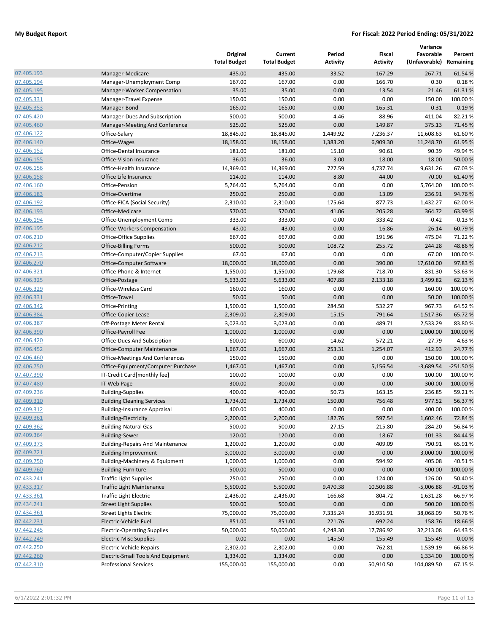|            |                                         | Original<br><b>Total Budget</b> | Current<br><b>Total Budget</b> | Period<br><b>Activity</b> | Fiscal<br><b>Activity</b> | Variance<br>Favorable<br>(Unfavorable) Remaining | Percent    |
|------------|-----------------------------------------|---------------------------------|--------------------------------|---------------------------|---------------------------|--------------------------------------------------|------------|
| 07.405.193 | Manager-Medicare                        | 435.00                          | 435.00                         | 33.52                     | 167.29                    | 267.71                                           | 61.54 %    |
| 07.405.194 | Manager-Unemployment Comp               | 167.00                          | 167.00                         | 0.00                      | 166.70                    | 0.30                                             | 0.18%      |
| 07.405.195 | Manager-Worker Compensation             | 35.00                           | 35.00                          | 0.00                      | 13.54                     | 21.46                                            | 61.31%     |
| 07.405.331 | Manager-Travel Expense                  | 150.00                          | 150.00                         | 0.00                      | 0.00                      | 150.00                                           | 100.00 %   |
| 07.405.353 | Manager-Bond                            | 165.00                          | 165.00                         | 0.00                      | 165.31                    | $-0.31$                                          | $-0.19%$   |
| 07.405.420 | Manager-Dues And Subscription           | 500.00                          | 500.00                         | 4.46                      | 88.96                     | 411.04                                           | 82.21%     |
| 07.405.460 | Manager-Meeting And Conference          | 525.00                          | 525.00                         | 0.00                      | 149.87                    | 375.13                                           | 71.45 %    |
| 07.406.122 | Office-Salary                           | 18,845.00                       | 18,845.00                      | 1,449.92                  | 7,236.37                  | 11,608.63                                        | 61.60%     |
| 07.406.140 | Office-Wages                            | 18,158.00                       | 18,158.00                      | 1,383.20                  | 6,909.30                  | 11,248.70                                        | 61.95%     |
| 07.406.152 | Office-Dental Insurance                 | 181.00                          | 181.00                         | 15.10                     | 90.61                     | 90.39                                            | 49.94%     |
| 07.406.155 | Office-Vision Insurance                 | 36.00                           | 36.00                          | 3.00                      | 18.00                     | 18.00                                            | 50.00 %    |
| 07.406.156 | Office-Health Insurance                 | 14,369.00                       | 14,369.00                      | 727.59                    | 4,737.74                  | 9,631.26                                         | 67.03%     |
| 07.406.158 | Office Life Insurance                   | 114.00                          | 114.00                         | 8.80                      | 44.00                     | 70.00                                            | 61.40%     |
| 07.406.160 | Office-Pension                          | 5,764.00                        | 5,764.00                       | 0.00                      | 0.00                      | 5,764.00                                         | 100.00 %   |
| 07.406.183 | Office-Overtime                         | 250.00                          | 250.00                         | 0.00                      | 13.09                     | 236.91                                           | 94.76%     |
| 07.406.192 | Office-FICA (Social Security)           | 2,310.00                        | 2,310.00                       | 175.64                    | 877.73                    | 1,432.27                                         | 62.00%     |
| 07.406.193 | Office-Medicare                         | 570.00                          | 570.00                         | 41.06                     | 205.28                    | 364.72                                           | 63.99%     |
| 07.406.194 | Office-Unemployment Comp                | 333.00                          | 333.00                         | 0.00                      | 333.42                    | $-0.42$                                          | $-0.13%$   |
| 07.406.195 | <b>Office-Workers Compensation</b>      | 43.00                           | 43.00                          | 0.00                      | 16.86                     | 26.14                                            | 60.79%     |
| 07.406.210 | Office-Office Supplies                  | 667.00                          | 667.00                         | 0.00                      | 191.96                    | 475.04                                           | 71.22%     |
| 07.406.212 | <b>Office-Billing Forms</b>             | 500.00                          | 500.00                         | 108.72                    | 255.72                    | 244.28                                           | 48.86%     |
| 07.406.213 | Office-Computer/Copier Supplies         | 67.00                           | 67.00                          | 0.00                      | 0.00                      | 67.00                                            | 100.00 %   |
| 07.406.270 | Office-Computer Software                | 18,000.00                       | 18,000.00                      | 0.00                      | 390.00                    | 17,610.00                                        | 97.83%     |
| 07.406.321 | Office-Phone & Internet                 | 1,550.00                        | 1,550.00                       | 179.68                    | 718.70                    | 831.30                                           | 53.63%     |
| 07.406.325 | Office-Postage                          | 5,633.00                        | 5,633.00                       | 407.88                    | 2,133.18                  | 3,499.82                                         | 62.13%     |
| 07.406.329 | Office-Wireless Card                    | 160.00                          | 160.00                         | 0.00                      | 0.00                      | 160.00                                           | 100.00 %   |
| 07.406.331 | Office-Travel                           | 50.00                           | 50.00                          | 0.00                      | 0.00                      | 50.00                                            | 100.00 %   |
| 07.406.342 | Office-Printing                         | 1,500.00                        | 1,500.00                       | 284.50                    | 532.27                    | 967.73                                           | 64.52%     |
| 07.406.384 | Office-Copier Lease                     | 2,309.00                        | 2,309.00                       | 15.15                     | 791.64                    | 1,517.36                                         | 65.72 %    |
| 07.406.387 | Off-Postage Meter Rental                | 3,023.00                        | 3,023.00                       | 0.00                      | 489.71                    | 2,533.29                                         | 83.80%     |
| 07.406.390 | Office-Payroll Fee                      | 1,000.00                        | 1,000.00                       | 0.00                      | 0.00                      | 1,000.00                                         | 100.00 %   |
| 07.406.420 | Office-Dues And Subsciption             | 600.00                          | 600.00                         | 14.62                     | 572.21                    | 27.79                                            | 4.63 %     |
| 07.406.452 | Office-Computer Maintenance             | 1,667.00                        | 1,667.00                       | 253.31                    | 1,254.07                  | 412.93                                           | 24.77%     |
| 07.406.460 | Office-Meetings And Conferences         | 150.00                          | 150.00                         | 0.00                      | 0.00                      | 150.00                                           | 100.00 %   |
| 07.406.750 | Office-Equipment/Computer Purchase      | 1,467.00                        | 1,467.00                       | 0.00                      | 5,156.54                  | $-3,689.54$                                      | $-251.50%$ |
| 07.407.390 | IT-Credit Card[monthly fee]             | 100.00                          | 100.00                         | 0.00                      | 0.00                      | 100.00                                           | 100.00 %   |
| 07.407.480 | IT-Web Page                             | 300.00                          | 300.00                         | 0.00                      | 0.00                      | 300.00                                           | 100.00 %   |
| 07.409.236 | <b>Building-Supplies</b>                | 400.00                          | 400.00                         | 50.73                     | 163.15                    | 236.85                                           | 59.21%     |
| 07.409.310 | <b>Building Cleaning Services</b>       | 1,734.00                        | 1,734.00                       | 150.00                    | 756.48                    | 977.52                                           | 56.37%     |
| 07.409.312 | <b>Building-Insurance Appraisal</b>     | 400.00                          | 400.00                         | 0.00                      | 0.00                      | 400.00                                           | 100.00%    |
| 07.409.361 | <b>Building-Electricity</b>             | 2,200.00                        | 2,200.00                       | 182.76                    | 597.54                    | 1,602.46                                         | 72.84 %    |
| 07.409.362 | <b>Building-Natural Gas</b>             | 500.00                          | 500.00                         | 27.15                     | 215.80                    | 284.20                                           | 56.84 %    |
| 07.409.364 | <b>Building-Sewer</b>                   | 120.00                          | 120.00                         | 0.00                      | 18.67                     | 101.33                                           | 84.44 %    |
| 07.409.373 | <b>Building-Repairs And Maintenance</b> | 1,200.00                        | 1,200.00                       | 0.00                      | 409.09                    | 790.91                                           | 65.91%     |
| 07.409.721 | Building-Improvement                    | 3,000.00                        | 3,000.00                       | 0.00                      | 0.00                      | 3,000.00                                         | 100.00 %   |
| 07.409.750 | Building-Machinery & Equipment          | 1,000.00                        | 1,000.00                       | 0.00                      | 594.92                    | 405.08                                           | 40.51%     |
| 07.409.760 | <b>Building-Furniture</b>               | 500.00                          | 500.00                         | 0.00                      | 0.00                      | 500.00                                           | 100.00%    |
| 07.433.241 | <b>Traffic Light Supplies</b>           | 250.00                          | 250.00                         | 0.00                      | 124.00                    | 126.00                                           | 50.40%     |
| 07.433.317 | <b>Traffic Light Maintenance</b>        | 5,500.00                        | 5,500.00                       | 9,470.38                  | 10,506.88                 | $-5,006.88$                                      | $-91.03%$  |
| 07.433.361 | <b>Traffic Light Electric</b>           | 2,436.00                        | 2,436.00                       | 166.68                    | 804.72                    | 1,631.28                                         | 66.97%     |
| 07.434.241 | <b>Street Light Supplies</b>            | 500.00                          | 500.00                         | 0.00                      | 0.00                      | 500.00                                           | 100.00%    |
| 07.434.361 | <b>Street Lights Electric</b>           | 75,000.00                       | 75,000.00                      | 7,335.24                  | 36,931.91                 | 38,068.09                                        | 50.76%     |
| 07.442.231 | Electric-Vehicle Fuel                   | 851.00                          | 851.00                         | 221.76                    | 692.24                    | 158.76                                           | 18.66%     |
| 07.442.245 | <b>Electric-Operating Supplies</b>      | 50,000.00                       | 50,000.00                      | 4,248.30                  | 17,786.92                 | 32,213.08                                        | 64.43%     |
| 07.442.249 | <b>Electric-Misc Supplies</b>           | 0.00                            | 0.00                           | 145.50                    | 155.49                    | $-155.49$                                        | 0.00%      |
| 07.442.250 | Electric-Vehicle Repairs                | 2,302.00                        | 2,302.00                       | 0.00                      | 762.81                    | 1,539.19                                         | 66.86%     |
| 07.442.260 | Electric-Small Tools And Equipment      | 1,334.00                        | 1,334.00                       | 0.00                      | 0.00                      | 1,334.00                                         | 100.00 %   |
| 07.442.310 | <b>Professional Services</b>            | 155,000.00                      | 155,000.00                     | 0.00                      | 50,910.50                 | 104,089.50                                       | 67.15%     |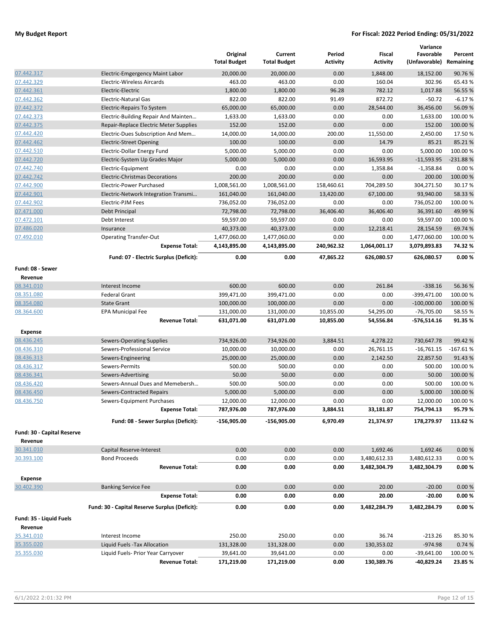|                             |                                                                 | Original<br><b>Total Budget</b> | Current<br><b>Total Budget</b> | Period<br><b>Activity</b> | Fiscal<br><b>Activity</b> | Variance<br>Favorable<br>(Unfavorable) Remaining | Percent    |
|-----------------------------|-----------------------------------------------------------------|---------------------------------|--------------------------------|---------------------------|---------------------------|--------------------------------------------------|------------|
| 07.442.317                  | Electric-Emgergency Maint Labor                                 | 20,000.00                       | 20,000.00                      | 0.00                      | 1,848.00                  | 18,152.00                                        | 90.76%     |
| 07.442.329                  | <b>Electric-Wireless Aircards</b>                               | 463.00                          | 463.00                         | 0.00                      | 160.04                    | 302.96                                           | 65.43%     |
| 07.442.361                  | Electric-Electric                                               | 1,800.00                        | 1,800.00                       | 96.28                     | 782.12                    | 1,017.88                                         | 56.55 %    |
| 07.442.362                  | <b>Electric-Natural Gas</b>                                     | 822.00                          | 822.00                         | 91.49                     | 872.72                    | $-50.72$                                         | $-6.17%$   |
| 07.442.372                  | Electric-Repairs To System                                      | 65,000.00                       | 65,000.00                      | 0.00                      | 28,544.00                 | 36,456.00                                        | 56.09%     |
| 07.442.373                  | Electric-Building Repair And Mainten                            | 1,633.00                        | 1,633.00                       | 0.00                      | 0.00                      | 1,633.00                                         | 100.00 %   |
| 07.442.375                  | Repair-Replace Electric Meter Supplies                          | 152.00                          | 152.00                         | 0.00                      | 0.00                      | 152.00                                           | 100.00%    |
| 07.442.420                  | Electric-Dues Subscription And Mem                              | 14,000.00                       | 14,000.00                      | 200.00                    | 11,550.00                 | 2,450.00                                         | 17.50%     |
| 07.442.462                  | <b>Electric-Street Opening</b>                                  | 100.00                          | 100.00                         | 0.00                      | 14.79                     | 85.21                                            | 85.21%     |
| 07.442.510                  | Electric-Dollar Energy Fund                                     | 5,000.00                        | 5,000.00                       | 0.00                      | 0.00                      | 5.000.00                                         | 100.00%    |
| 07.442.720                  | Electric-System Up Grades Major                                 | 5,000.00                        | 5,000.00                       | 0.00                      | 16,593.95                 | $-11,593.95$                                     | $-231.88%$ |
| 07.442.740                  | Electric-Equipment                                              | 0.00                            | 0.00                           | 0.00                      | 1,358.84                  | $-1,358.84$                                      | 0.00%      |
| 07.442.742                  | <b>Electric-Christmas Decorations</b>                           | 200.00                          | 200.00                         | 0.00                      | 0.00                      | 200.00                                           | 100.00 %   |
| 07.442.900                  | Electric-Power Purchased                                        | 1,008,561.00                    | 1,008,561.00                   | 158,460.61                | 704,289.50                | 304,271.50                                       | 30.17%     |
| 07.442.901                  | Electric-Network Integration Transmi                            | 161,040.00                      | 161,040.00                     | 13,420.00                 | 67,100.00                 | 93,940.00                                        | 58.33%     |
| 07.442.902                  | Electric-PJM Fees                                               | 736,052.00                      | 736,052.00                     | 0.00                      | 0.00                      | 736,052.00                                       | 100.00 %   |
| 07.471.000                  | Debt Principal                                                  | 72,798.00                       | 72,798.00                      | 36,406.40                 | 36,406.40                 | 36,391.60                                        | 49.99%     |
| 07.472.101                  | Debt Interest                                                   | 59,597.00                       | 59,597.00                      | 0.00                      | 0.00                      | 59,597.00                                        | 100.00%    |
| 07.486.020                  | Insurance                                                       | 40,373.00                       | 40,373.00                      | 0.00                      | 12,218.41                 | 28,154.59                                        | 69.74 %    |
| 07.492.010                  | <b>Operating Transfer-Out</b>                                   | 1,477,060.00                    | 1,477,060.00                   | 0.00                      | 0.00                      | 1,477,060.00                                     | 100.00 %   |
|                             | <b>Expense Total:</b>                                           | 4,143,895.00                    | 4,143,895.00                   | 240,962.32                | 1,064,001.17              | 3,079,893.83                                     | 74.32%     |
|                             | Fund: 07 - Electric Surplus (Deficit):                          | 0.00                            | 0.00                           | 47,865.22                 | 626,080.57                | 626,080.57                                       | 0.00%      |
| Fund: 08 - Sewer<br>Revenue |                                                                 |                                 |                                |                           |                           |                                                  |            |
| 08.341.010                  | Interest Income                                                 | 600.00                          | 600.00                         | 0.00                      | 261.84                    | $-338.16$                                        | 56.36%     |
| 08.351.080                  | <b>Federal Grant</b>                                            | 399,471.00                      | 399,471.00                     | 0.00                      | 0.00                      | -399,471.00                                      | 100.00%    |
| 08.354.080                  | <b>State Grant</b>                                              | 100,000.00                      | 100,000.00                     | 0.00                      | 0.00                      | $-100,000.00$                                    | 100.00 %   |
| 08.364.600                  | EPA Municipal Fee                                               | 131,000.00                      | 131,000.00                     | 10,855.00                 | 54,295.00                 | $-76,705.00$                                     | 58.55%     |
|                             | <b>Revenue Total:</b>                                           | 631,071.00                      | 631,071.00                     | 10,855.00                 | 54,556.84                 | -576,514.16                                      | 91.35%     |
| Expense<br>08.436.245       |                                                                 | 734,926.00                      | 734,926.00                     | 3,884.51                  |                           | 730,647.78                                       | 99.42%     |
| 08.436.310                  | <b>Sewers-Operating Supplies</b><br>Sewers-Professional Service | 10,000.00                       | 10,000.00                      | 0.00                      | 4,278.22<br>26,761.15     | $-16,761.15$                                     | $-167.61%$ |
| 08.436.313                  | Sewers-Engineering                                              | 25,000.00                       | 25,000.00                      | 0.00                      | 2,142.50                  | 22,857.50                                        | 91.43%     |
| 08.436.317                  | Sewers-Permits                                                  | 500.00                          | 500.00                         | 0.00                      | 0.00                      | 500.00                                           | 100.00%    |
| 08.436.341                  | Sewers-Advertising                                              | 50.00                           | 50.00                          | 0.00                      | 0.00                      | 50.00                                            | 100.00 %   |
| 08.436.420                  | Sewers-Annual Dues and Memebersh                                | 500.00                          | 500.00                         | 0.00                      | 0.00                      | 500.00                                           | 100.00%    |
| 08.436.450                  | Sewers-Contracted Repairs                                       | 5,000.00                        | 5,000.00                       | 0.00                      | 0.00                      | 5,000.00                                         | 100.00%    |
| 08.436.750                  | Sewers-Equipment Purchases                                      | 12,000.00                       | 12,000.00                      | 0.00                      | 0.00                      | 12,000.00                                        | 100.00 %   |
|                             | <b>Expense Total:</b>                                           | 787,976.00                      | 787,976.00                     | 3,884.51                  | 33,181.87                 | 754,794.13                                       | 95.79%     |
|                             | Fund: 08 - Sewer Surplus (Deficit):                             | $-156,905.00$                   | $-156,905.00$                  | 6,970.49                  | 21,374.97                 | 178,279.97                                       | 113.62%    |
| Fund: 30 - Capital Reserve  |                                                                 |                                 |                                |                           |                           |                                                  |            |
| Revenue                     |                                                                 |                                 |                                |                           |                           |                                                  |            |
| 30.341.010                  | Capital Reserve-Interest                                        | 0.00                            | 0.00                           | 0.00                      | 1,692.46                  | 1,692.46                                         | 0.00%      |
| 30.393.100                  | <b>Bond Proceeds</b>                                            | 0.00                            | 0.00                           | 0.00                      | 3,480,612.33              | 3,480,612.33                                     | 0.00%      |
| <b>Expense</b>              | <b>Revenue Total:</b>                                           | 0.00                            | 0.00                           | 0.00                      | 3,482,304.79              | 3,482,304.79                                     | 0.00%      |
| 30.402.390                  | <b>Banking Service Fee</b>                                      | 0.00                            | 0.00                           | 0.00                      | 20.00                     | $-20.00$                                         | 0.00%      |
|                             | <b>Expense Total:</b>                                           | 0.00                            | 0.00                           | 0.00                      | 20.00                     | $-20.00$                                         | 0.00%      |
|                             | Fund: 30 - Capital Reserve Surplus (Deficit):                   | 0.00                            | 0.00                           | 0.00                      | 3,482,284.79              | 3,482,284.79                                     | 0.00%      |
| Fund: 35 - Liquid Fuels     |                                                                 |                                 |                                |                           |                           |                                                  |            |
| Revenue                     |                                                                 |                                 |                                |                           |                           |                                                  |            |
| 35.341.010                  | Interest Income                                                 | 250.00                          | 250.00                         | 0.00                      | 36.74                     | $-213.26$                                        | 85.30%     |
| 35.355.020                  | Liquid Fuels - Tax Allocation                                   | 131,328.00                      | 131,328.00                     | 0.00                      | 130,353.02                | $-974.98$                                        | 0.74 %     |
| 35.355.030                  | Liquid Fuels- Prior Year Carryover                              | 39,641.00                       | 39,641.00                      | 0.00                      | 0.00                      | $-39,641.00$                                     | 100.00 %   |
|                             | <b>Revenue Total:</b>                                           | 171,219.00                      | 171,219.00                     | 0.00                      | 130,389.76                | -40,829.24                                       | 23.85%     |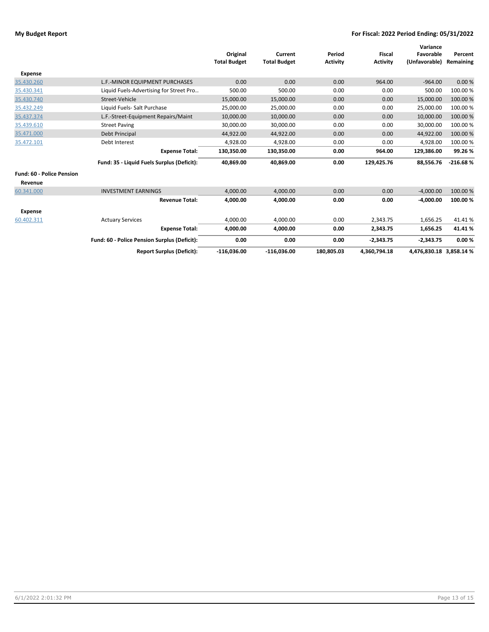|                                  |                                              |                     |                     |                 |                 | Variance      |            |
|----------------------------------|----------------------------------------------|---------------------|---------------------|-----------------|-----------------|---------------|------------|
|                                  |                                              | Original            | Current             | Period          | <b>Fiscal</b>   | Favorable     | Percent    |
|                                  |                                              | <b>Total Budget</b> | <b>Total Budget</b> | <b>Activity</b> | <b>Activity</b> | (Unfavorable) | Remaining  |
| <b>Expense</b>                   |                                              |                     |                     |                 |                 |               |            |
| 35.430.260                       | L.F.-MINOR EQUIPMENT PURCHASES               | 0.00                | 0.00                | 0.00            | 964.00          | $-964.00$     | 0.00%      |
| 35.430.341                       | Liquid Fuels-Advertising for Street Pro      | 500.00              | 500.00              | 0.00            | 0.00            | 500.00        | 100.00 %   |
| 35.430.740                       | Street-Vehicle                               | 15,000.00           | 15,000.00           | 0.00            | 0.00            | 15,000.00     | 100.00 %   |
| 35.432.249                       | Liquid Fuels- Salt Purchase                  | 25,000.00           | 25,000.00           | 0.00            | 0.00            | 25,000.00     | 100.00 %   |
| 35.437.374                       | L.F.-Street-Equipment Repairs/Maint          | 10,000.00           | 10,000.00           | 0.00            | 0.00            | 10,000.00     | 100.00 %   |
| 35.439.610                       | <b>Street Paving</b>                         | 30,000.00           | 30.000.00           | 0.00            | 0.00            | 30.000.00     | 100.00 %   |
| 35.471.000                       | Debt Principal                               | 44,922.00           | 44,922.00           | 0.00            | 0.00            | 44,922.00     | 100.00 %   |
| 35.472.101                       | Debt Interest                                | 4,928.00            | 4,928.00            | 0.00            | 0.00            | 4,928.00      | 100.00 %   |
|                                  | <b>Expense Total:</b>                        | 130,350.00          | 130,350.00          | 0.00            | 964.00          | 129,386.00    | 99.26%     |
|                                  | Fund: 35 - Liquid Fuels Surplus (Deficit):   | 40,869.00           | 40,869.00           | 0.00            | 129,425.76      | 88,556.76     | $-216.68%$ |
| <b>Fund: 60 - Police Pension</b> |                                              |                     |                     |                 |                 |               |            |
| Revenue                          |                                              |                     |                     |                 |                 |               |            |
| 60.341.000                       | <b>INVESTMENT EARNINGS</b>                   | 4,000.00            | 4,000.00            | 0.00            | 0.00            | $-4.000.00$   | 100.00 %   |
|                                  | <b>Revenue Total:</b>                        | 4,000.00            | 4,000.00            | 0.00            | 0.00            | $-4,000.00$   | 100.00%    |
| <b>Expense</b>                   |                                              |                     |                     |                 |                 |               |            |
| 60.402.311                       | <b>Actuary Services</b>                      | 4,000.00            | 4,000.00            | 0.00            | 2,343.75        | 1,656.25      | 41.41%     |
|                                  | <b>Expense Total:</b>                        | 4,000.00            | 4,000.00            | 0.00            | 2,343.75        | 1,656.25      | 41.41%     |
|                                  | Fund: 60 - Police Pension Surplus (Deficit): | 0.00                | 0.00                | 0.00            | $-2,343.75$     | $-2,343.75$   | 0.00%      |
|                                  | <b>Report Surplus (Deficit):</b>             | $-116,036.00$       | $-116,036.00$       | 180,805.03      | 4,360,794.18    | 4,476,830.18  | 3,858.14 % |
|                                  |                                              |                     |                     |                 |                 |               |            |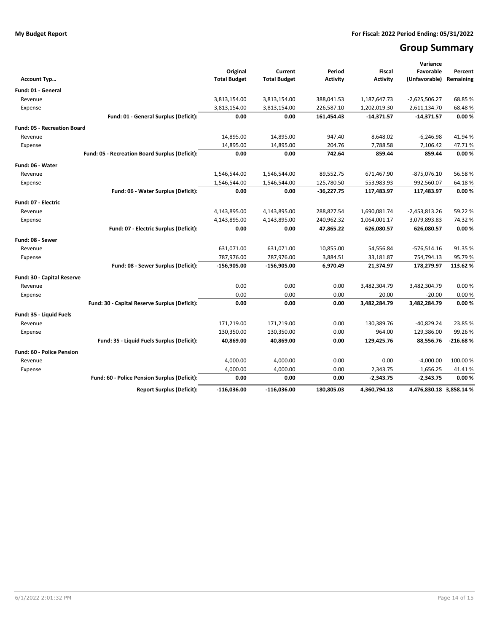# **Group Summary**

|                                    |                                                |                                 |                                |                           |                           | Variance                   |                      |
|------------------------------------|------------------------------------------------|---------------------------------|--------------------------------|---------------------------|---------------------------|----------------------------|----------------------|
| Account Typ                        |                                                | Original<br><b>Total Budget</b> | Current<br><b>Total Budget</b> | Period<br><b>Activity</b> | Fiscal<br><b>Activity</b> | Favorable<br>(Unfavorable) | Percent<br>Remaining |
| Fund: 01 - General                 |                                                |                                 |                                |                           |                           |                            |                      |
| Revenue                            |                                                | 3,813,154.00                    | 3,813,154.00                   | 388,041.53                | 1,187,647.73              | $-2,625,506.27$            | 68.85 %              |
| Expense                            |                                                | 3,813,154.00                    | 3,813,154.00                   | 226,587.10                | 1,202,019.30              | 2,611,134.70               | 68.48%               |
|                                    | Fund: 01 - General Surplus (Deficit):          | 0.00                            | 0.00                           | 161,454.43                | $-14,371.57$              | $-14,371.57$               | 0.00%                |
| <b>Fund: 05 - Recreation Board</b> |                                                |                                 |                                |                           |                           |                            |                      |
| Revenue                            |                                                | 14,895.00                       | 14,895.00                      | 947.40                    | 8,648.02                  | $-6,246.98$                | 41.94%               |
| Expense                            |                                                | 14,895.00                       | 14,895.00                      | 204.76                    | 7,788.58                  | 7,106.42                   | 47.71%               |
|                                    | Fund: 05 - Recreation Board Surplus (Deficit): | 0.00                            | 0.00                           | 742.64                    | 859.44                    | 859.44                     | 0.00%                |
| Fund: 06 - Water                   |                                                |                                 |                                |                           |                           |                            |                      |
| Revenue                            |                                                | 1,546,544.00                    | 1,546,544.00                   | 89,552.75                 | 671,467.90                | $-875,076.10$              | 56.58%               |
| Expense                            |                                                | 1,546,544.00                    | 1,546,544.00                   | 125,780.50                | 553,983.93                | 992,560.07                 | 64.18%               |
|                                    | Fund: 06 - Water Surplus (Deficit):            | 0.00                            | 0.00                           | $-36,227.75$              | 117,483.97                | 117,483.97                 | 0.00%                |
|                                    |                                                |                                 |                                |                           |                           |                            |                      |
| Fund: 07 - Electric                |                                                |                                 |                                |                           |                           |                            |                      |
| Revenue                            |                                                | 4,143,895.00                    | 4,143,895.00                   | 288,827.54                | 1,690,081.74              | $-2,453,813.26$            | 59.22 %              |
| Expense                            |                                                | 4,143,895.00                    | 4,143,895.00                   | 240,962.32                | 1,064,001.17              | 3,079,893.83               | 74.32%               |
|                                    | Fund: 07 - Electric Surplus (Deficit):         | 0.00                            | 0.00                           | 47,865.22                 | 626,080.57                | 626,080.57                 | 0.00%                |
| Fund: 08 - Sewer                   |                                                |                                 |                                |                           |                           |                            |                      |
| Revenue                            |                                                | 631,071.00                      | 631,071.00                     | 10,855.00                 | 54,556.84                 | $-576,514.16$              | 91.35%               |
| Expense                            |                                                | 787,976.00                      | 787,976.00                     | 3,884.51                  | 33,181.87                 | 754,794.13                 | 95.79%               |
|                                    | Fund: 08 - Sewer Surplus (Deficit):            | $-156,905.00$                   | $-156,905.00$                  | 6,970.49                  | 21,374.97                 | 178,279.97                 | 113.62%              |
| Fund: 30 - Capital Reserve         |                                                |                                 |                                |                           |                           |                            |                      |
| Revenue                            |                                                | 0.00                            | 0.00                           | 0.00                      | 3,482,304.79              | 3,482,304.79               | 0.00%                |
| Expense                            |                                                | 0.00                            | 0.00                           | 0.00                      | 20.00                     | $-20.00$                   | 0.00%                |
|                                    | Fund: 30 - Capital Reserve Surplus (Deficit):  | 0.00                            | 0.00                           | 0.00                      | 3,482,284.79              | 3,482,284.79               | 0.00%                |
| Fund: 35 - Liquid Fuels            |                                                |                                 |                                |                           |                           |                            |                      |
| Revenue                            |                                                | 171,219.00                      | 171,219.00                     | 0.00                      | 130,389.76                | $-40,829.24$               | 23.85 %              |
| Expense                            |                                                | 130,350.00                      | 130,350.00                     | 0.00                      | 964.00                    | 129,386.00                 | 99.26%               |
|                                    | Fund: 35 - Liquid Fuels Surplus (Deficit):     | 40,869.00                       | 40,869.00                      | 0.00                      | 129,425.76                | 88,556.76                  | $-216.68%$           |
| <b>Fund: 60 - Police Pension</b>   |                                                |                                 |                                |                           |                           |                            |                      |
| Revenue                            |                                                | 4,000.00                        | 4,000.00                       | 0.00                      | 0.00                      | $-4,000.00$                | 100.00%              |
| Expense                            |                                                | 4,000.00                        | 4,000.00                       | 0.00                      | 2,343.75                  | 1,656.25                   | 41.41%               |
|                                    | Fund: 60 - Police Pension Surplus (Deficit):   | 0.00                            | 0.00                           | 0.00                      | $-2,343.75$               | $-2,343.75$                | 0.00%                |
|                                    | <b>Report Surplus (Deficit):</b>               | $-116,036.00$                   | $-116,036.00$                  | 180,805.03                | 4.360.794.18              | 4,476,830.18 3,858.14 %    |                      |